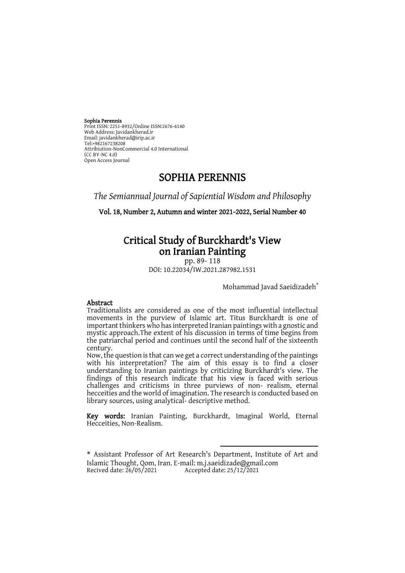#### Sophia Perennis

Print ISSN: 2251-8932/Online ISSN:2676-6140 Web Address: Javidankherad.ir Email[: javidankherad@irip.ac.ir](mailto:javidankherad@irip.ac.ir) [Tel:+982167238208](tel:+982167238208) Attribiution-NonCommercial 4.0 International  $(CCRY-NC 40)$ Open Access Journal

# SOPHIA PERENNIS

*The Semiannual Journal of Sapiential Wisdom and Philosophy*

Vol. 18, Number 2, Autumn and winter 2021-2022, Serial Number 40

# Critical Study of Burckhardt's View on Iranian Painting

pp. 89- 118 DOI: 10.22034/IW.2021.287982.1531

Mohammad Javad Saeidizadeh<sup>\*</sup>

### Abstract

Traditionalists are considered as one of the most influential intellectual movements in the purview of Islamic art. Titus Burckhardt is one of important thinkers who has interpreted Iranian paintings with a gnostic and mystic approach.The extent of his discussion in terms of time begins from the patriarchal period and continues until the second half of the sixteenth century.

Now, the question is that can we get a correct understanding of the paintings with his interpretation? The aim of this essay is to find a closer understanding to Iranian paintings by criticizing Burckhardt's view. The findings of this research indicate that his view is faced with serious challenges and criticisms in three purviews of non- realism, eternal hecceities and the world of imagination. The research is conducted based on library sources, using analytical- descriptive method.

Key words: Iranian Painting, Burckhardt, Imaginal World, Eternal Hecceities, Non-Realism.

**.** 

<sup>\*</sup> Assistant Professor of Art Research's Department, Institute of Art and Islamic Thought, Qom, Iran. E-mail[: m.j.saeidizade@gmail.com](mailto:m.j.saeidizade@gmail.com) Accepted date:  $25/12/2021$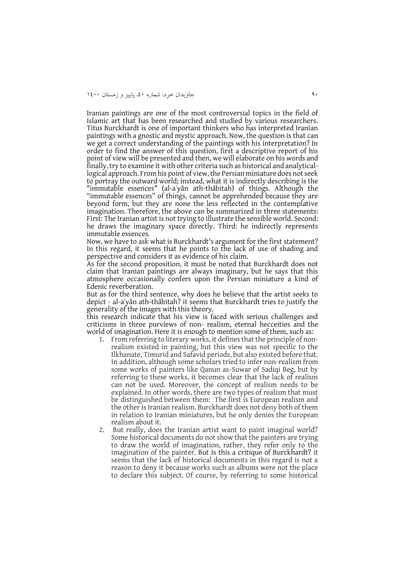Iranian paintings are one of the most controversial topics in the field of Islamic art that has been researched and studied by various researchers. Titus Burckhardt is one of important thinkers who has interpreted Iranian paintings with a gnostic and mystic approach. Now, the question is that can we get a correct understanding of the paintings with his interpretation? In order to find the answer of this question, first a descriptive report of his point of view will be presented and then, we will elaborate on his words and finally, try to examine it with other criteria such as historical and analyticallogical approach. From his point of view, the Persian miniature does not seek to portray the outward world; instead, what it is indirectly describing is the "immutable essences" (al-aʿyān ath-thābitah) of things. Although the "immutable essences" of things, cannot be apprehended because they are beyond form, but they are none the less reflected in the contemplative imagination. Therefore, the above can be summarized in three statements: First: The Iranian artist is not trying to illustrate the sensible world. Second: he draws the imaginary space directly. Third: he indirectly represents immutable essences.

Now, we have to ask what is Burckhardt's argument for the first statement? In this regard, it seems that he points to the lack of use of shading and perspective and considers it as evidence of his claim.

As for the second proposition, it must be noted that Burckhardt does not claim that Iranian paintings are always imaginary, but he says that this atmosphere occasionally confers upon the Persian miniature a kind of Edenic reverberation.

But as for the third sentence, why does he believe that the artist seeks to depict - al-aʿyān ath-thābitah? it seems that Burckhardt tries to justify the generality of the images with this theory.

this research indicate that his view is faced with serious challenges and criticisms in three purviews of non- realism, eternal hecceities and the world of imagination. Here it is enough to mention some of them, such as:

- 1. From referring to literary works, it defines that the principle of nonrealism existed in painting, but this view was not specific to the Ilkhanate, Timurid and Safavid periods, but also existed before that. In addition, although some scholars tried to infer non-realism from some works of painters like Qanun as-Suwar of Sadiqi Beg, but by referring to these works, it becomes clear that the lack of realism can not be used. Moreover, the concept of realism needs to be explained. In other words, there are two types of realism that must be distinguished between them: The first is European realism and the other is Iranian realism. Burckhardt does not deny both of them in relation to Iranian miniatures, but he only denies the European realism about it.
- 2. But really, does the Iranian artist want to paint imaginal world? Some historical documents do not show that the painters are trying to draw the world of imagination, rather, they refer only to the imagination of the painter. But is this a critique of Burckhardt? it seems that the lack of historical documents in this regard is not a reason to deny it because works such as albums were not the place to declare this subject. Of course, by referring to some historical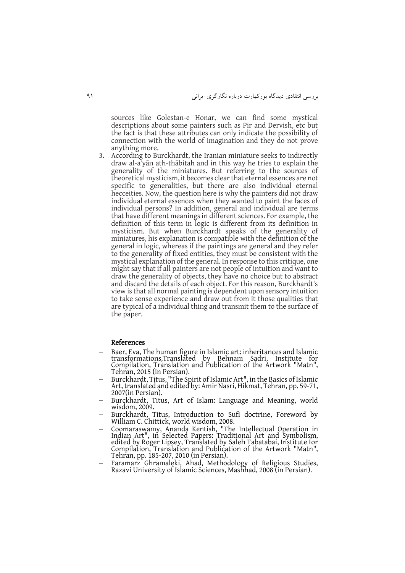sources like Golestan-e Honar, we can find some mystical descriptions about some painters such as Pir and Dervish, etc but the fact is that these attributes can only indicate the possibility of connection with the world of imagination and they do not prove anything more.

3. According to Burckhardt, the Iranian miniature seeks to indirectly draw al-aʿyān ath-thābitah and in this way he tries to explain the generality of the miniatures. But referring to the sources of theoretical mysticism, it becomes clear that eternal essences are not specific to generalities, but there are also individual eternal hecceities. Now, the question here is why the painters did not draw individual eternal essences when they wanted to paint the faces of individual persons? In addition, general and individual are terms that have different meanings in different sciences. For example, the definition of this term in logic is different from its definition in mysticism. But when Burckhardt speaks of the generality of miniatures, his explanation is compatible with the definition of the general in logic, whereas if the paintings are general and they refer to the generality of fixed entities, they must be consistent with the mystical explanation of the general. In response to this critique, one might say that if all painters are not people of intuition and want to draw the generality of objects, they have no choice but to abstract and discard the details of each object. For this reason, Burckhardt's view is that all normal painting is dependent upon sensory intuition to take sense experience and draw out from it those qualities that are typical of a individual thing and transmit them to the surface of the paper.

#### References

- Baer, Eva, The human figure in Islamic art: inheritances and Islamic transformations*,*Translated by Behnam Sadri, Institute for Compilation, Translation and Publication of the Artwork "Matn", Tehran, 2015 (in Persian).
- Burckhardt, Titus, "The Spirit of Islamic Art", in the Basics of Islamic Art, translated and edited by: Amir Nasri, Hikmat, Tehran, pp. 59-71, 2007(in Persian).
- Burckhardt, Titus, Art of Islam: Language and Meaning, world wisdom, 2009.
- Burckhardt, Titus, Introduction to Sufi doctrine, Foreword by William C. Chittick, world wisdom, 2008.
- Coomaraswamy, Ananda Kentish, "The Intellectual Operation in Indian Art", in Selected Papers: Traditional Art and Symbolism, edited by Roger Lipsey, Translated by Saleh Tabatabai, Institute for Compilation, Translation and Publication of the Artwork "Matn", Tehran, pp. 185-207, 2010 (in Persian).
- Faramarz Ghramaleki, Ahad, Methodology of Religious Studies, Razavi University of Islamic Sciences, Mashhad, 2008 (in Persian).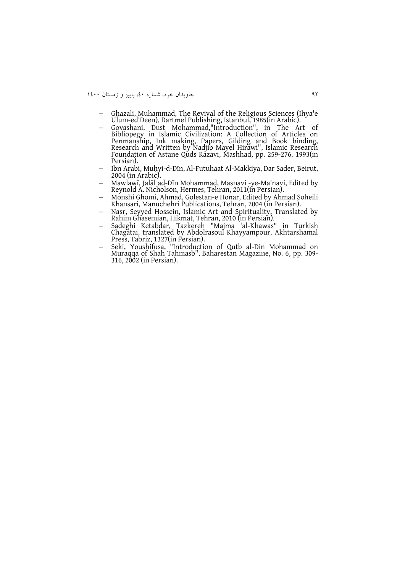09 جاويدان خرد، شماره ،09 پايیز و زمستان 0099

- Ghazali, Muhammad, The Revival of the Religious Sciences (Ihya'e Ulum-ed'Deen), Dartmel Publishing, Istanbul, 1985(in Arabic).
- Govashani, Dust Mohammad,"Introduction", in The Art of Bibliopegy in Islamic Civilization: A Collection of Articles on Penmanship, Ink making, Papers, Gilding and Book binding, Research and Written by Nadjib Mayel Hirawi", Islamic Research Foundation of Astane Quds Razavi, Mashhad, pp. 259-276, 1993(in Persian).
- Ibn Arabi, Muḥyi-d-Dīn, Al-Futuhaat Al-Makkiya, Dar Sader, Beirut, 2004 (in Arabic).
- Mawlawī, Jalāl ad-Dīn Mohammad, Masnavi -ye-Ma'navi, Edited by Reynold A. Nicholson, Hermes, Tehran, 2011(in Persian).
- Monshi Ghomi, Ahmad, Golestan-e Honar, Edited by Ahmad Soheili Khansari, Manuchehri Publications, Tehran, 2004 (in Persian).
- Nasr, Seyyed Hossein, Islamic Art and Spirituality, Translated by Rahim Ghasemian, Hikmat, Tehran, 2010 (in Persian).
- Sadeghi Ketabdar, Tazkereh "Majma 'al-Khawas" in Turkish Chagatai, translated by Abdolrasoul Khayyampour, Akhtarshamal Press, Tabriz, 1327(in Persian).
- Seki, Youshifusa, "Introduction of Qutb al-Din Mohammad on Muraqqa of Shah Tahmasb", Baharestan Magazine, No. 6, pp. 309- 316, 2002 (in Persian).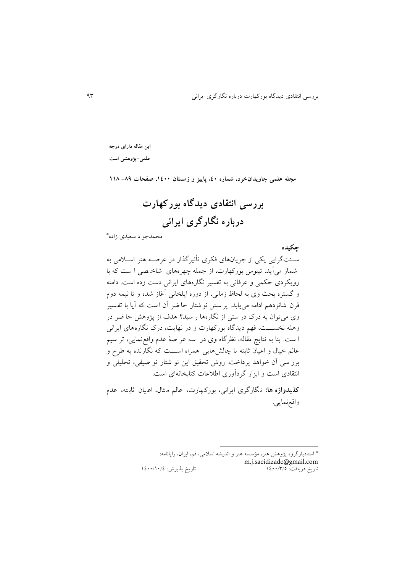**چکیده**

**این مقاله دارای درجه** 

**علمی-پژوهشی است**

**مجله علمی جاویدانخرد، شماره ،04 پاییز و زمستان ،0044 صفحات -98 009**

**بررسی انتقادی دیدگاه بورکهارت درباره نگارگری ایرانی**

\* محمدجواد سعیدی زاده

سـنتگرايی يکی از جريانهای فکری تأثیرگذار در عرصـه هنر اسـلامی به شمار می آيد. تیتوس بورکهارت، از جمله چهرههای شاخ صی ا س که با رويکردی حکمی و عرفانی به تفسیر نگارههای ايرانی دست زده است. دامنه و گستره بحث وی به لحاظ زمانی، از دوره ايلخانی آغاز شده و تا نیمه دوم قرن شانزدهم ادامه می یابد. پر سش نو شتار حاضر آن است که آیا با تفسیر وی می توان به درک در ستی از نگارهها ر سید؟ هدف از پژوهش حا ضر در وهله نخســـت، فهم ديدگاه بورکهارت و در نهايت، درک نگارههای ايرانی ا ست. بنا به نتايج مقاله، نظرگاه وی در سه عر صهٔ عدم واقع نمايی، تر سيم عالم خیال و اعیان ثابته با چالش هايی همراه اسننن که نگارنده به طرح و برر سی آن خواهد پرداخت. روش تحقیق این نو شتار تو صیفی، تحلیلی و انتقادی است و ابزار گردآوری اطلاعات کتابخانهای است.

<mark>کل یدواژه ها:</mark> نگارگری ایرانی، بورکهارت، عالم مثال، اعیان ثابته، عدم واقعنمايی.

> \* استاديارگروه پژوهش ه ر، مؤسسه ه ر و انديشه اسیمی، قم، ايران، رايانامه: m.j.saeidizade@gmail.com<br>تاریخ دریافت: ۱٤٠٠/٣/٥ تاريخ پذيرش: ١٤٠٠/١٠/٤

**.**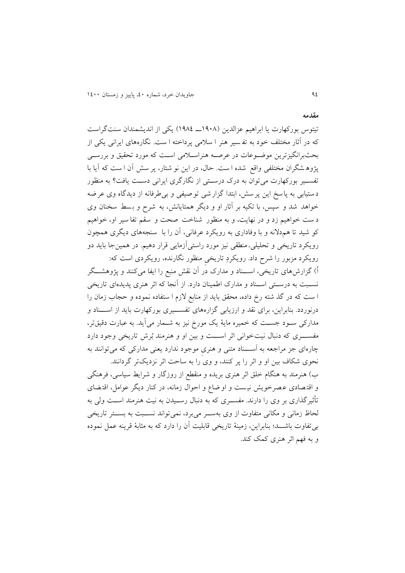تیتوس بورکهارت يا ابراهيم عزالدين (١٩٠٨ــ ١٩٨٤) يکی از انديشمندان سنتگراست که در آثار مختلف خود به تفسیر هنر ا سلامی پرداخته ا ست. نگارههای ایرانی یکی از بحثبرانگیزترین موضـوعات در عرصـه هنراسـلامی اسـت که مورد تحقیق و بررسـی پژوه شگران مختلفی واقع شده ا ست. حال، در اين نو شتار، پر سش آن ا ست که آيا با تفسـير بورکهارت می توان به درک درسـتی از نگارگری ايرانی دسـت يافت؟ به منظور دستیابی به پاسخ اين پرسش ، ابتدا گزارشی توصیفی و بیطرفانه از ديدگاه وی عرضه خواهد شد و سپس، با تکیه بر آثار او و دیگر همتایانش، به شرح و بسط سخنان وی د ست خواهیم زد و در نهایت، و به منظور شناخت صحت و سقم تفا سیر او، خواهیم کو شید تا هم دلانه و با وفاداری به رویکرد عرفانی، آن را با سنجههای دیگری همچون رويکرد تاريخی و تحليلیـ منطقی نيز مورد راستیآزمايی قرار دهيم. در همينجا بايد دو

رويکرد مزبور را شرح داد. رويکردِ تاريخی منظور نگارنده، رويکردی است که: أ) گزارشهای تاريخی، اســـناد و مدارک در آن نقش منبع را ايفا میکنند و پژوهشـــگر نسـبت به درسـتی اســناد و مدارک اطمینان دارد. از آنجا که اثر هنری پدیدهای تاریخی ا ست که در گذ شته رخ داده، محقق بايد از منابع لازم ا ستفاده نموده و حجاب زمان را درنوردد. بنابراين، برای نقد و ارزيابی گزارههای تفســـيری بورکهارت بايد از اســـناد و مدارکی سنود جسن که خمیره مايۀ يک مورخ نیز به شنمار میآيد. به عرارت دقیقتر، مفسسری که دنبال نیت خوانی اثر اسست و بین او و هنرمند بُرش تاریخی وجود دارد چارهای جز مراجعه به اَســـناد متنی و هنری موجود ندارد یعنی مدارکی که می توانند به نحوی شکاف بین او و اثر را پر کنند، و وی را به ساحت اثر نزديکتر گردانند.

ب) هنرمند به هنگام خلق اثر هنری بريده و منقطع از روزگار و شرايط سياسی، فرهنگی و اقتصادی عـصرخويش نيست و او ضاع و احوال زمانه، در کنار ديگر عوامل، اقتـضای تأثیرگذاری بر وی را دارند. مفســری که به دنبال رســیدن به نیت هنرمند اســت ولی به لحاظ زمانی و مکانی متفاوت از وی بهسننر میبرد، نمیتواند نسننر به بسننتر تاريخی بی تفاوت باشـــد؛ بنابراين، زمينۀ تاريخی قابليت آن را دارد که به مثابۀ قرينه عمل نموده و به فهم اثر هنری کمک کند.

**مقدمه**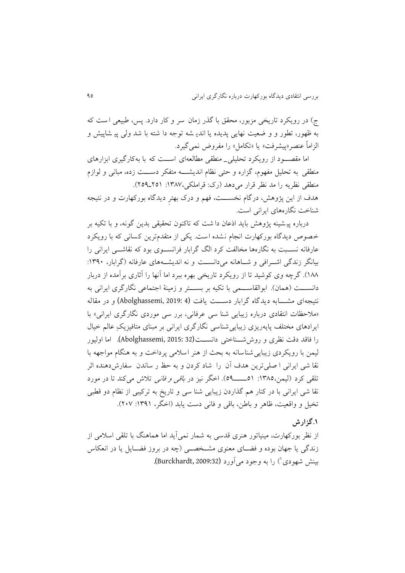ج) در رويکرد تاريخی مزبور، محقق با گذر زمان سر و کار دارد. پس، طبيعی است که به ظهور، تطور و و ضعیت نهایی پدیده یا اندیـ شه توجه دا شته با شد ولی پیـ شاپیش و الزاماً عنصر«پیشرفت» یا «تکامل» را مفروض نمی گیرد.

اما مقصـود از رویکرد تحلیلی\_ منطقی مطالعهای اســت که با بهکارگیری ابزارهای منطقی به تحلیل مفهوم، گزاره و حتی نظام اندیشــــه متفکر دســــت زده، مبانی و لوازم منطقی نظریه را مد نظر قرار می دهد (رک: قراملکی،۱۳۸۷: ۲۵۱ـ۲۵۹). هدف از اين پژوهش ، درگام نخسننن ، فهم و درک بهترِ ديدگاه بورکهارت و در نتیجه شناخت نگارههای ايرانی است.

درباره پیشینه پژوهش بايد اذعان دا شت که تاکنون تحقیقی بدين گونه، و با تکیه بر خصوص ديدگاه بورکهارت انجام نشده است. يکی از متقدمترين کسانی که با رويکرد عارفانه نســبت به نگارهها مخالفت کرد الگ گرابار فرانســـوی بود که نقاشـــی ايرانی را بیانگر زندگی اشرافی و شناهانه میدانست و نه اندیشههای عارفانه (گرابار، ۱۳۹۰: ۱۸۸). گرچه وی کوشید تا از رويکرد تاريخی بهره ببرد اما آنها را آثاری برآمده از دربار دانســـت (همان). ابوالقاســـمی با تکیه بر بســـتر و زمینۀ اجتماعی نگارگری ايرانی به نتیجهای مشـــابه ديدگاه گرابار دســـت يافت (4 :Abolghassemi, 2019) و در مقاله «ملاحظات انتقادی درباره زيبايی شنا سی عرفانی، برر سی موردی نگارگری ايرانی» با ايرادهای مختلف پايهريزی زيبايی شناسی نگارگری ايرانی بر مبنای متافيزيکِ عالم خيال را فاقد دق نظری و روششنن اختی دانسنن (32 2015: ,Abolghassemi(**.** اما اولیور لیمن با رویکردی زیبایی شناسانه به بحث از هنر اسلامی پرداخت و به هنگام مواجهه با نقا شی ايرانی ا صلی ترين هدف آن را شاد کردن و به حظ ر ساندن سفارش دهنده اثر تلقی کرد )لیمن:0915، 50ننننن50(. اخگر نیز در باقی و فانی تیش میک د تا در مورد نقا شی ايرانی با در کنار هم گذاردن زيبايی شنا سی و تاريخ به ترکيبی از نظام دو قطبی تخیل و واقعیت، ظاهر و باطن، باقی و فانی دست یابد (اخگر، ۱۳۹۱: ۲۰۷).

## **.0گزارش**

از نظر بورکهارت، مینیاتور هنری قدسی به شمار نمی آید اما هماهنگ با تلقی اسلامی از زندگی يا جهان بوده و فضــای معنوی مشــخصــی (چه در بروز فضــايل يا در انعکاس بینش شهودی<sup>'</sup>) را به وجود می[ورد (Burckhardt, 2009:32).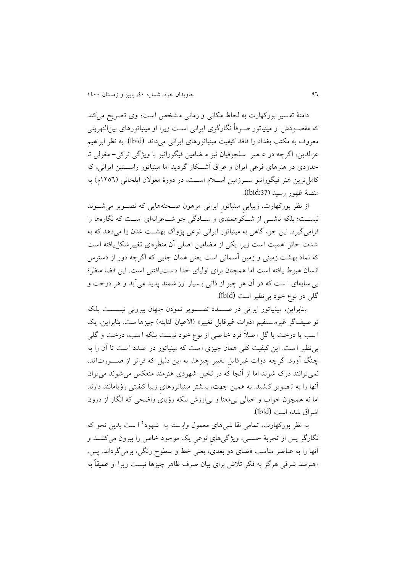دامنهٔ تفسیر بورکهارت به لحاظ مکانی و زمانی مشخص است؛ وی تصریح می کند که مقصـودش از مینیاتور صـرفاً نگارگری ایرانی اسـت زیرا او مینیاتورهای بین|لنهرینی معروف به مکتب بغداد را فاقد کیفی می یاتورهای ايرانی میداند (Ibid(**.** به نظر ابراهیم عزالدين، اگرچه در ع صر سلجوقیان نیز م ضامین فیگوراتیو با ويژگی ترکی - مغولی تا حدودی در هنرهای فرعی ايران و عراق آشــکار گرديد اما مينياتور راســـتين ايرانی، که کامل ترين هنر فيگوراتيو سوزمين اسلام است، در دورۀ مغولان ايلخانی (١٢٥٦م) به م صۀ ظهور رسید **)**:37Ibid(**.**

از نظر بورکهارت، زيبايیِ مینیاتور ايرانیِ مرهون صـحنههايی که تصـویر می شـوند نیسـت؛ بلکه ناشــی از شــکوهمندی و ســادگی جو شــاعرانهای اســت که نگارهها را فرامیگیرد. این جو، گاهی به مینیاتور ایرانی نوعی پژواک بهشت عَدَن را میدهد که به شدت حائز اهمیت است زيرا يکی از مضامین اصلی آن منظرهای تغییر شکل يافته است که نماد بهشت زمینی و زمین آسمانی است یعنی همان جایی که اگرچه دور از دسترس انسان هبوط يافته است اما همچنان برای اوليای خدا دست يافتنی است. اين فضا منظرۀ بی سايهای ا ست که در آن هر چيز از ذاتی بسيار ارز شمند پديد میآيد و هر درخت و گل<sub>ی</sub> در نوع خود بی نظیر است (Ibid).

بنابراين، مینياتور ايرانی در صندد تصنوير نمودن جهان بیرونی نیسنت بلکه تو صیف گر غیرم ستقیم «ذوات غیرقابل تغییر» (الاعیان الثابته) چیزها ست. بنابراین، یک ا سب يا درخت يا گل ا صلاً فرد خا صی از نوع خود نيست بلکه ا سب، درخت و گلی بی نظیر ا ست. این کیفیت کلی همان چیزی ا ست که مینیاتور در صدد ا ست تا آن را به چنگ آورد. گرچه ذوات غیرقابل تغییر چیزها، به این دلیل که فراتر از صـورتاند، نمی توانند درک شوند اما از آنجا که در تخیل شهودی هنرمند منعکس می شوند می توان آنها را به تصویر کشید. به همین جهت، بیشتر مینیاتورهای زیبا کیفیتی رؤیامانند دارند اما نه همچون خواب و خیالی بیمعنا و بی|رزش بلکه رؤیای واضحی که انگار از درون اشراق شده اس (Ibid(**.**

به نظر بورکهارت، تمامی نقا شیهای معمول واب<sub>ـ</sub>سته به شهود<sup>۲</sup> ا ست بدین نحو که نگارگر پس از تجربۀ حسنی، ويژگیهایِ نوعیِ يک موجود خاص را بیرون میکشند و آنها را به عناصر مناسب فضای دو بعدی، يعنی خط و سطوح رنگی، برمی گرداند. پس، «هنرمند شرقی هرگز به فکر تلاش برای بیان صرف ظاهر چیزها نیست زیرا او عمیقاً به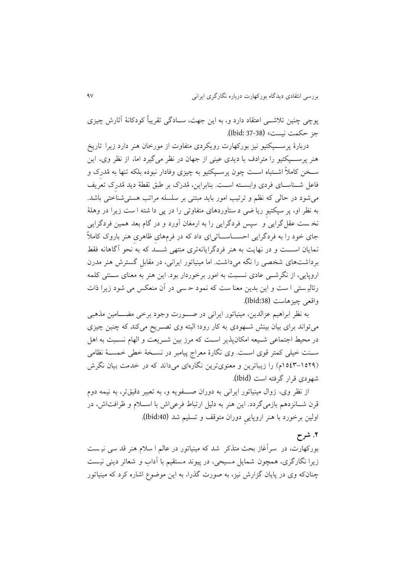پوچی چنین تلاشـــی اعتقاد دارد و، به این جهت، ســادگی تقریباً کودکانۀ آثارش چیزی جز حکمت نیست» (38-37 **:**Ibid).

دربارۀ پرســـيکتيو نيز بورکهارت رويکردي متفاوت از مورخان هنر دارد زيرا تاريخ هنر پرســـپکتیو را مترادف با دیدی عینی از جهان در نظر می گیرد اما، از نظر وی، این سـخن کاملاً اشــتباه اســت چون پرســیکتیو به چیزی وفادار نبوده بلکه تنها به مُدرِک و فاعل شــناســای فردی وابســته اســت. بنابراين، مُدرَک بر طبق نقطۀ ديد مُدرک تعريف می شود در حالی که نظم و ترتیب امور باید مبتنی بر سلسله مراتب هستی شناختی باشد. به نظر او، پر سپکتیو ریا ضی د ستاوردهای متفاوتی را در پی دا شته ا ست زیرا در وهلۀ نخ ست عقل گرايی و سپس فردگرايی را به ارمغان آورد و در گام بعد همین فردگرايی جای خود را به فردگرايی احســـاســـاتییای داد که در فرمهای ظاهری هنر باروک کاملاً نمايان اســـت و در نهايت به هنر فردگرايانهتری منتهی شـــد که به نحو آگاهانه فقط برداشتهای شخصی را نگه میداشت. اما مینیاتور ایرانی، در مقابل گسترش هنر مدرن اروپايی، از نگرشــي عادی نســبت به امور برخوردار بود. اين هنر به معنای ســنتی کلمه رئالیـستی ا ست و اين بدين معنا ست که نمود حـسی در آن منعکس می شود زيرا ذات واقعی چیزهاست (1bid:38).

به نظر ابراهیم عزالدین، مینیاتور ایرانی در صـــورت وجود برخی مضـــامین مذهبی میتواند برای بیان بینش شهودی به کار رود؛ البته وی تصـریح میکند که چنین چیزی در محیط اجتماعی شـيعه امکانپذير اسـت که مرز بين شـريعت و الهام نسـبت به اهل سنن خیلی کمتر قوی اسنن . وی نگارۀ معراج پیامرر در نسننخۀ خطی خمسننۀ نظامی (۱۵۲۹–۱۵٤۳م) را زيباترين و معنوى ترين نگارهای می داند که در خدمت بيان نگرش شهودی قرار گرفته اس (Ibid(**.**

از نظر وی، زوال مینیاتور ایرانی به دوران صـــفویه و، به تعبیر دقیقتر، به نیمه دوم قرن شــانزدهم بازمیگردد. اين هنر به دليل ارتباط فرعیاش با اســلام و ظرافت|ش، در اولین برخورد با هنر اروپایی دوران متوقف و تسلیم شد (Ibid:40).

## **.2 شرح**

بورکهارت، در ًسرآغاز بحث متذکر ً شد که مینیاتور در عالم ا سلام هنر قد سی نیـست زيرا نگارگری، همچون شمايل مسيحی، در پيوند مستقیم با آداب و شعائر دينی نيست چنانکه وی در پايان گزارش نيز، به صورت گذرا، به اين موضوع اشاره کرد که مينياتور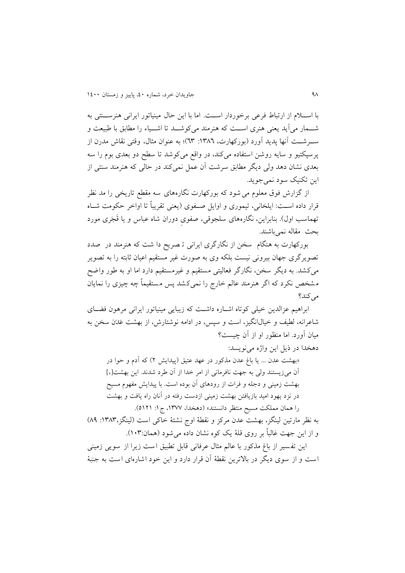با اسپلام از ارتباط فرعی برخوردار است. اما با این حال مینیاتور ایرانی هنرستنی به شــمار میآيد يعنی هنری اســت که هنرمند میکوشــد تا اشــياء را مطابق با طبيعت و ســرشــت آنها پديد آورد (بورکهارت، ١٣٨٦: ٦٣)؛ به عنوان مثال، وقتی نقاش مدرن از پرسپکتیو و سایه روشن استفاده میکند، در واقع میکوشد تا سطح دو بعدی بوم را سه بعدی نشان دهد ولی دیگر مطابق سرشت آن عمل نمیکند در حالی که هنرمند سنتی از اين تکنيک سود نمي جويد.

از گزارش فوق معلوم میشود که بورکهارت نگارههای سه مقطع تاريخی را مد نظر قرار داده است: ايلخاني، تيموري و اوايل صفوي (يعني تقريباً تا اواخر حکومت شـاه تهماسب اول). بنابراین، نگارههای سلجوقی، صفوی دوران شاه عباس و یا قَجَری مورد بحث مقاله نمی باشند.

بورکهارت به هنگام سخن از نگارگری ايرانی تـ صريح دا شت که هنرمند در صدد تصويرگری جهان بيرونی نيست بلکه وی به صورت غیر مستقیم اعیان ثابته را به تصوير میکشد. به ديگر سخن، نگارگر فعالیتی مستقیم و غیرمستقیم دارد اما او به طور واضح مشخص نکرد که اگر هنرمند عالم خارج را نمیکشد پس مستقیماً چه چیزی را نمایان می کند؟

ابراهیم عزالدین خیلی کوتاه اشباره داشت که زیبایی مینیاتور ایرانی مرهون فضبای شاعرانه، لطیف و خیال(نگیز، است و سپس، در ادامه نوشتارش، از بهشت عَدَن سخن به میان آورد. اما منظور او از آن چیست؟

دهخدا در ذيل اين واژه مینويسد:

«بهشت عدن ... يا باغ عدن مذکور در عهد عتيق (پيدايش ٢) که آدم و حوا در آن میزیستند ولی به جهت نافرمانی از امر خدا از آن طرد شدند. این بهشت[،] بهشت زمینی و دجله و فرات از رودهای آن بوده است. با پیدایش مفهوم مسیح در نزد يهود اميد بازيافتن بهشت زميني ازدست رفته در آنان راه يافت و بهشت را همان مملکت مسیح منتظر دانستند» (دهخدا، ۱۳۷۷، ج ۱: ۵۱۲۱).

به نظر مارتین لینگز، بهشت عدن مرکز و نقطۀ اوج نشئۀ خاکی است (لینگز،١٣٨٣: ٨٩) و از اين جهت غالباً بر روی قلۀ يک کوه نشان داده می شود (همان:۱۰۳).

اين تفسير از باغ مذکور با عالم مثال عرفانی قابل تطبيق است زيرا از سويی زمينی است و از سوی ديگر در بالاترين نقطۀ آن قرار دارد و اين خود اشارهای است به جنبۀ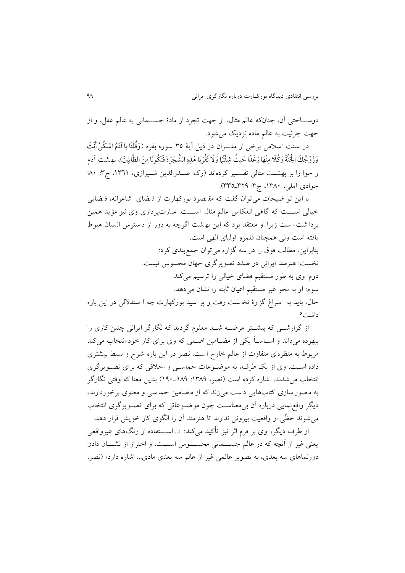دوســـاحتی آن، چنانکه عالم مثال، از جهت تجرد از مادۀ جســـمانی به عالم عقل، و از جهت جزئیت به عالم ماده نزدیک می شود.

در سنت اسلامی برخی از مفسران در ذیل آیۀ ٣٥ سوره بقره (وَقُلْنَا یا آدَمُ اسْكُنْ أَنْتَ ا وَزْوْجُكَ الْجَنَّةَ وَكُلا مِنْهَا رَغَدًا حَيثُ شِئْتُمَا وَلَا تَقْرَبَا هَذِهِ الشَّجَرَةَ فَتَكُونَا مِنَ الظَّالِينَ)، بهشت آدم و حوا را بر بهشت مثالی تفسير كردهاند (رک: صـدرالدين شـيرازی، ١٣٦١، ج٣: ٨٠؛ جوادی آملی، ۱۳۸۰، ج۳: ۳۲۹\_۳۳۵).

با اين تو ضيحات مي توان گفت که مق صود بورکهارت از ف ضای شاعرانه، ف ضايبي خیالی اســت که گاهی انعکاس عالم مثال اســت. عبارت پردازی وی نیز مؤید همین بردا شت ا ست زيرا او معتقد بود که اين به شت اگرچه به دور از د سترس انسان هبوط يافته است ولی همچنان قلمرو اوليای الهی است. بنابراين، مطالب فوق را در سه گزاره می توان جمع بندی کرد: نخست: هنرمند ايرانی در صدد تصويرگری جهان محسوس نيست. دوم: وی به طور مستقیم فضای خیالی را ترسیم میکند. سوم: او به نحو غیر مستقیم اعیان ثابته را نشان می دهد. حال، بايد به سراغ گزارهٔ نخست رفت و پر سيد بورکهارت چه ا ستدلالی در اين باره داشت؟

از گزارشــی که پیشــتر عرضــه شــد معلوم گردید که نگارگر ایرانی چنین کاری را بیهوده میداند و اسـاسـاً يکی از مضـامین اصـلی که وی برای کار خود انتخاب میکند مربوط به منظرهای متفاوت از عالم خارج است. نصر در این باره شرح و بسط بیشتری داده است. وی از يک طرف، به موضوعات حماسي و اخلاقی که برای تصويرگری انتخاب می شدند، اشاره کرده است (نصر، ١٣٨٩: ١٨٩-١٩٠) بدين معنا که وقتی نگارگر به مصور سازی کتابهایی دست می زند که از مضامین حما سی و معنوی برخوردارند، ديگر واقع نمايی درباره آن بی معناسـت چون موضـوعاتی که برای تصـويرگری انتخاب می شوند حظّی از واقعیت بیرونی ندارند تا هنرمند آن را الگوی کار خویش قرار دهد. از طرف ديگر، وی بر فرم اثر نيز تأکيد می کند: «...اســـتفاده از رنگهای غيرواقعی

یعنی غیر از آنچه که در عالم جســـمانی محســـوس اســـت، و احتراز از نشـــان دادن دورنماهای سه بعدی، به تصویر عالمی غیر از عالم سه بعدی مادی... اشاره دارد» (نصر،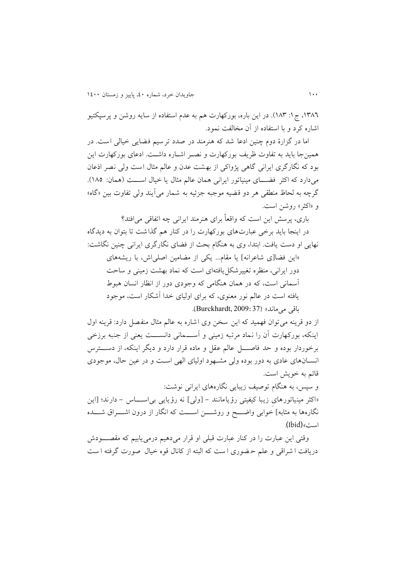،0919 ج:0 019(. در اين باره، بورکهارت هم به عدم استفاده از سايه روشن و پرسپکتیو اشاره کرد و با استفاده از آن مخالف نمود.

اما در گزارۀ دوم چنین ادعا شد که هنرمند در صدد ترسیم فضایی خیالی است. در همینجا بايد به تفاوت ظريف بورکهارت و نصنر اشناره داشن . ادعای بورکهارت اين بود که نگارگری ایرانی گاهی پژواکی از بهشت عدن و عالم مثال است ولی نصر اذعان میدارد که اکثر فضـای مینیاتور ایرانی همان عالم مثال یا خیال اســـت (همان: ١٨٥). گرچه به لحاظ منطقی هر دو قضیه موجبه جزئیه به شمار می آیند ولی تفاوت بین «گاه» و «اکثر» روشن است.

باری، پرسش اين است که واقعاً برای هنرمند ايرانی چه اتفاقی می|فتد؟

در اينجا بايد برخی عبارتهای بورکهارت را در کنار هم گذاشت تا بتوان به ديدگاه نهايی او دست يافت. ابتدا، وی به هنگام بحث از فضای نگارگری ايرانی چنين نگاشت:

»اين فضا]ی شاعرانه[ يا مقام... يکی از مضامین اصلیاش، با ريشههای دور ایرانی، منظره تغییرشکل یافتهای است که نماد بهشت زمینی و ساحت آسمانی است، که در همان هنگامی که وجودی دور از انظار انسان هبوط یافته است در عالم نور معنوی، که برای اولیای خدا آشکار است، موجود باقی میماند« (37 2009: ,Burckhardt(.

از دو قرينه می توان فهميد که اين سخن وی اشاره به عالم مثال منفصل دارد: قرينه اول اینکه، بورکهارت آن را نماد مرتبه زمینی و آســـمانی دانســـت یعنی از جنبه برزخی برخوردار بوده و حد فاصل عالم عقل و ماده قرار دارد و ديگر اينکه، از دست س انسنان های عادی به دور بوده ولی مشنهود اولیای الهی اسن و در عین حال، موجودی قائم به خويش است.

و سپس، به هنگام توصیف زیبایی نگارههای ایرانی نوشت:

«اکثر مینیاتورهای زیبا کیفیتی رؤیامانند - [ولی] نه رؤیایی بی اســـاس - دارند؛ [این نگارهها به مثابه] خوابی واضــــح و روشــــن اســـت که انگار از درون اشــــراق شــــده است» (Ibid).

وقتی اين عبارت را در کنار عبارت قبلی او قرار می دهیم درمی یابیم که مقصــــودش دريافت ا شراقی و علم حـضوری ا ست که البته از کانال قوه خیال صورت گرفته ا ست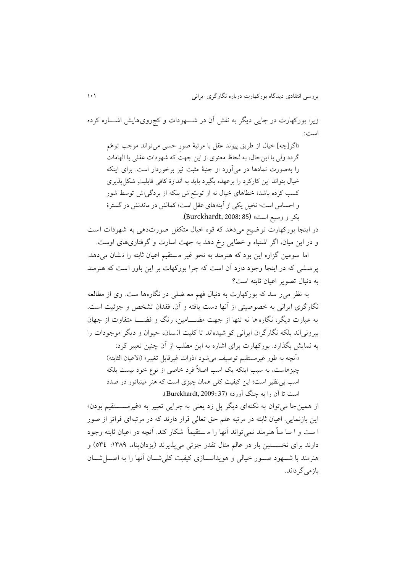زيرا بورکهارت در جايی ديگر به نقش آن در شنننهودات و کجرویهايش اشننناره کرده است:

»اگر]چه[ خیال از طريق پیوند عقل با مرترۀ صورِ حسی میتواند موجب توهّم گردد ولی با اين حال، به لحاظ معنوی از اين جهت که شهودات عقلی يا الهامات را بهصورت نمادها در می آورد از جنبهٔ مثبت نیز برخوردار است. برای اینکه خیال بتواند اين کارکرد را برعهده بگيرد بايد به اندازۀ کافی قابليتِ شکلپذيری کسب کرده باشدب خطاهای خیال نه از توسّعاش بلکه از بردگیاش توسط شور و احساس است؛ تخیل یکی از آينههای عقل است؛ كمالش در ماندنش در گسترۀ بکر و وسیع است» (Burckhardt, 2008: 85).

در اینجا بورکهارت توضیح می دهد که قوه خیال متکفل صورتدهی به شهودات است و در اين ميان، اگر اشتباه و خطايی رخ دهد به جهت اسارت و گرفتاریهای اوست.

اما سومین گزاره این بود که هنرمند به نحو غیر مستقیم اعیان ثابته را نشان می دهد. پر سشی که در اينجا وجود دارد آن است که چرا بورکهات بر اين باور است که هنرمند به دنبال تصوير اعيان ثابته است؟

به نظر می ر سد که بورکهارت به دنبال فهم مع ضلی در نگارهها ست. وی از مطالعه نگارگری ايرانی به خصوصیتی از آنها دست يافته و آن، فقدان تشخص و جزئیت است. به عبارت ديگر، نگاره ها نه تنها از جهت مضـــامين، رنگ و فضــــا متفاوت از جهان بیرونیاند بلکه نگارگران ايرانی کو شیده اند تا کلی ان سان، حیوان و ديگر موجودات را به نمايش بگذارد. بورکهارت برای اشاره به اين مطلب از آن چنين تعبير کرد:

«آنچه به طور غیرمستقیم توصیف می شود «ذوات غیرقابل تغییر» (الاعیان الثابته) چیزهاست، به سبب اینکه یک اسب اصلاً فرد خاصی از نوع خود نیست بلکه اسب بی نظیر است؛ این کیفیت کلی همان چیزی است که هنر مینیاتور در صدد است تا آن را به چنگ آورد» (Burckhardt, 2009: 37).

از همین جا می توان به نکتهای دیگر پل زد یعنی به چرایی تعبیر به «غیرمســـتقیم بودن» اين بازنمايی. اعیان ثابته در مرتره علم حق تعالی قرار دارند که در مرترهای فراتر از صور ا ست و ا سا ساً هنرمند نمی تواند آنها را مستقیماً شکار کند. آنچه در اعیان ثابته وجود دارند برای نخســـتین بار در عالم مثال تقدر جزئی میپذیرند (يزدانپناه، ١٣٨٩: ٥٣٤) و هنرمند با شنهود صنور خیالی و هویداسیازی کیفیت کلی شنان آنها را به اصبل شنان بازمی گر داند.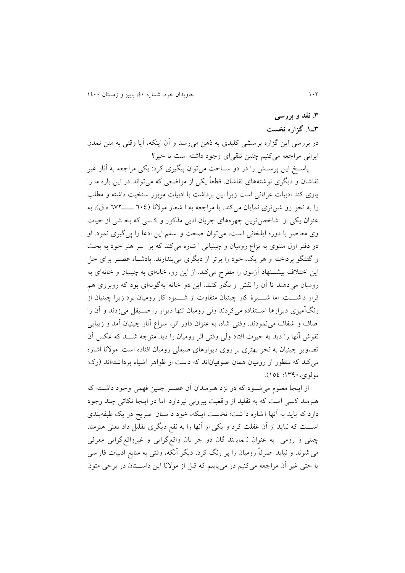# **.3 نقد و بررسی 3ـ.0 گزاره نخست**

در بررسی اين گزاره پرسشی کليدی به ذهن می رسد و آن اينکه، آيا وقتی به متن تمدن ايرانی مراجعه می کنيم چنين تلقی ای وجود داشته است يا خير؟

پاسـخ اين پرســش را در دو ســاحت می توان پیگیری کرد: يکی مراجعه به آثار غیر نقاشان و ديگری نوشتههای نقاشان. قطعاً يکی از مواضعی که می تواند در اين باره ما را ياری کند ادبيات عرفانی است زيرا اين برداشت با ادبيات مزبور سنخيت داشته و مطلب را به نحو رو شن تری نمايان میک د. با مراجعه به ا شعار موالنا ) 990 ننننن919 ه.ق(، به عنوان يکی از شاخص ترين چهرههای جريان ادبی مذکور و کسی که بخ شی از حیات وی معاصر با دوره ايلخانی است، می توان صحت و سقم اين ادعا را پی گيری نمود. او در دفتر اول مثنوی به نزاع رومیان و چینیانی ا شاره میکند که بر سر هنر خود به بحث و گفتگو پرداخته و هر يک، خود را برتر از ديگری میپ دارند. پادشناه عصنر برای حل اين اختلاف پیشــنهاد آزمون را مطرح میکند. از اين رو، خانهای به چینیان و خانهای به رومیان می دهند تا آن را نقش و نگار کنند. اين دو خانه بهگونهای بود که روبروی هم قرار داشـــت. اما شــــيوهٔ کار چینیان متفاوت از شــــيوه کار رومیان بود زيرا چینیان از رنگآمیزی ديوارها اسـتفاده میکردند ولی رومیان تنها ديوار را صـيقل می(دند و آن را صاف و شفاف می نمودند. وقتی شاه، به عنوان داور اثر، سراغ آثار چینیان آمد و زیبایی نقوش آنها را ديد به حیرت افتاد ولی وقتی اثر رومیان را ديد متوجه شنند که عکس آن تصاویر چینیان به نحو بهتری بر روی دیوارهای صیقلی رومیان افتاده است. مولانا اشاره می کند که منظور از رومیان همان صوفیاناند که دست از ظواهر اشیاء برداشتهاند (رک: مولوی:0909، 050(.

از اینجا معلوم می شـود که در نزد هنرمندان آن عصـر چنین فهمی وجود داشــته که هنرمند کسی است که به تقلید از واقعیت بیرونی نپردازد. اما در اینجا نکاتی چند وجود دارد که بايد به آنها ا شاره دا شت: نخست اينکه، خود دا ستان صريح در يک طبقهبندی اســـت که نبايد از آن غفلت کرد و يکي از آنها را به نفع ديگری تقليل داد يعنی هنرمند چینی و رومی به عنوان ن ماي ند گان دو جر يان واقع گرايی و غیرواقع گرايی معرفی می شوند و نبايد صرفاً روميان را پر رنگ کرد. ديگر آنکه، وقتی به منابع ادبيات فار سی يا حتی غیر آن مراجعه میکنیم در می یابیم که قبل از مولانا اين داســـتان در برخی متون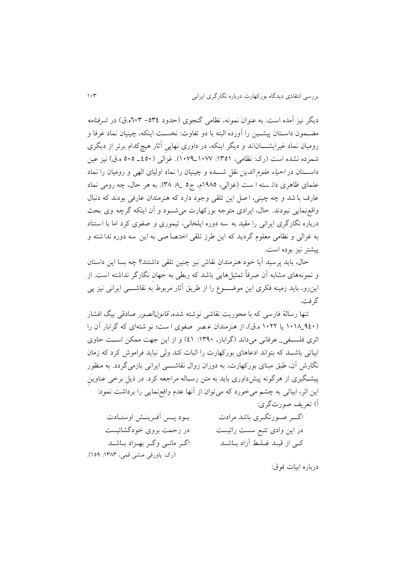ديگر نيز آمده است. به عنوان نمونه، نظامی گنجوی (حدود ٥٣٤–٦٠٣ه.ق) در *شرفنامه* مضــمون داســتان پیشــین را آورده البته با دو تفاوت: نخســت اینکه، چینیان نماد عرفا و رومیان نماد غیرایشــــاناند و دیگر اینکه، در داوری نهایی آثار هیچ کدام برتر از دیگری شمرده نشده است (رک: نظامی، ١٣٥١: ١٠٧٧\_١٠٧٩). غزالی (٤٥٠ه ـ ٥٠٥ ه.ق) نيز عين داســتان در *احیاء علوم الدین* نقل شـــده و چینیان را نماد اولیای الهی و رومیان را نماد علمای ظاهری دان سته ا ست (غزالی، ١٩٨٥م، ج٥ \_ ٨. ٣٨). به هر حال، چه رومی نماد عارف با شد و چه چینی، ا صل این تلقی وجود دارد که هنرمندان عارفی بودند که دنبال واقع نمايی نبودند. حال، ايرادی متوجه بورکهارت می شـود و آن اينکه گرچه وی بحث درباره نگارگری ايرانی را مقيد به سه دوره ايلخانی، تيموری و صفوی کرد اما با استناد به غزالی و نظامی معلوم گرديد که اين طرز تلقی اخت صا صی به اين سه دوره ندا شته و پیشتر نیز بوده است.

حال، بايد پرسيد آيا خود هنرِمندان نقاش نيز چنين تلقی داشتند؟ چه بسا اين داستان و نمونههای مشابه آن صرفاً تمثیلهایی باشد که ربطی به جهان نگارگر نداشته است. از اينرو، بايد زمينه فکری اين موضــــوع را از طريق آثار مربوط به نقاشـــــی ايرانی نيز پی گر فت.

تنها رسالهٔ فارسی که با محوریت نقاشی نوشته شده، ق*انونالصور ص*ادقی بیگ افشار (۹٤٠\_۱۰۱۸ يا ۱۰۲۲ ه.ق)، از هنرمندان عـصر صفوی ا ست؛ نو شتهای که گرابار آن را اثری فلسنفی\_ عرفانی میداند (گرابار، ١٣٩٠: ٤١) و از اين جهت ممکن است حاوی ابیاتی باشـد که بتواند ادعاهای بورکهارت را اثبات کند ولی نباید فراموش کرد که زمان نگارش آن، طبق مبنای بورکهارت، به دوران زوال نقاشــــی ایرانی بازمیگردد. به منظور پیشگیری از هرگونه پیشداوری باید به متن رسـاله مراجعه کرد. در ذیل برخی عناوین اين اثر، ابياتی به چشم می خورد که می توان از آنها عدم واقع نمايی را برداشت نمود: أ( تعريف صورتگری:

| بود پس أفرينش اوستادت             | اگـــر صــورتگــرى باشد مرادت |
|-----------------------------------|-------------------------------|
| در زحمت بروی خودگشائیست           | در این وادی تتبع سست رائیست   |
| اگر مانـي وگـر بهـزاد بـاشـد      | كى از قيـد غـلـط آزاد بـاشـد  |
| (رک: پاورقی منشی قمی، ۱۳۸۳: ۱۵۹). |                               |

درباره ابیات فوق: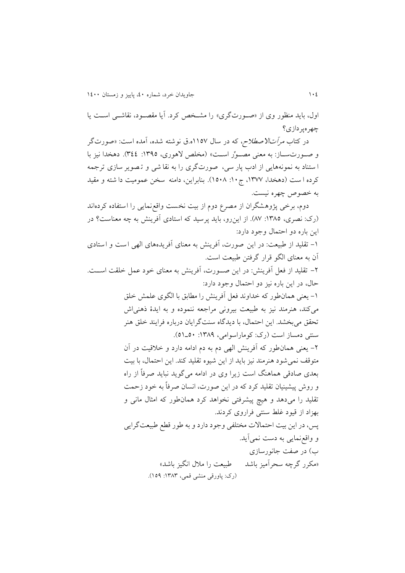اول، بايد منظور وی از «صورتگری» را مشخص کرد. آيا مقصود، نقاشبی است يا چهرهپردازی؟

در کتاب *مرآتالاصطلاح*، که در سال ۱۱۵۷ه.ق نوشته شده، آمده است: «صورتگر و صنورتسناز: به معنی مصنوًر است» (مخلص لاهوری، ١٣٩٥: ٣٤٤). دهخدا نیز با ا ستناد به نمونههايی از ادب پار سی، صورتگری را به نقا شی و تصویر سازی ترجمه کرده ا ست (دهخدا، ۱۳۷۷، ج ۱۰: ۱۰۸۸). بنابراین، دامنه سخن عمومیت دا شته و مقید به خصوص چهره نیست.

دوم، برخی پژوهشگران از مصرع دوم از بیت نخست واقع نمایی را استفاده کردهاند (رک: نصری، ١٣٨٥: ٨٧). از اين رو، بايد پرسيد که استادي آفرينش به چه معناست؟ در اين باره دو احتمال وجود دارد:

۱– تقلید از طبیعت: در اين صورت، آفرينش به معنای آفريدههای الهی است و استادی آن به معنای الگو قرار گرفتن طبیعت است.

۲- تقليد از فعل آفرينش: در اين صـورت، آفرينش به معناي خود عمل خلقت اســت. حال، در اين باره نیز دو احتمال وجود دارد:

> ۱– يعني همان طور که خداوند فعل آفرينش را مطابق با الگوی علمش خلق میکند، هنرمند نیز به طبیعت بیرونی مراجعه ننموده و به ایدۀ ذهنی ش تحقق میبخشد. اين احتمال، با ديدگاه سنتگرايان درباره فرايند خلق هنر سنتی دمساز است (رک: کوماراسوامی، ۱۳۸۹: ۵۰-۵۱).

> ۲- يعني همان طور که آفرينش الهي دم به دم ادامه دارد و خلاقيت در آن متوقف نمی شود هنرمند نیز باید از این شیوه تقلید کند. این احتمال، با بیت بعدی صادقی هماهنگ است زيرا وی در ادامه می گويد نبايد صرفاً از راه و روش پیشینیان تقلید کرد که در این صورت، انسان صرفاً به خود زحمت تقلید را میدهد و هیچ پیشرفتی نخواهد کرد همانطور که امثال مانی و بهزاد از قیود غلط س تی فراروی کردند. یس، در اين بيت احتمالات مختلفي وجود دارد و به طور قطع طبيعت گرايي و واقع نمايی به دست نمیآيد. ب) در صفت جانورسازی

«مکرر گرچه سحرآمیز باشد طبیعت را ملال انگیز باشد» (رک: پاورقی منشی قمی، ۱۳۸۳: ۱۵۹).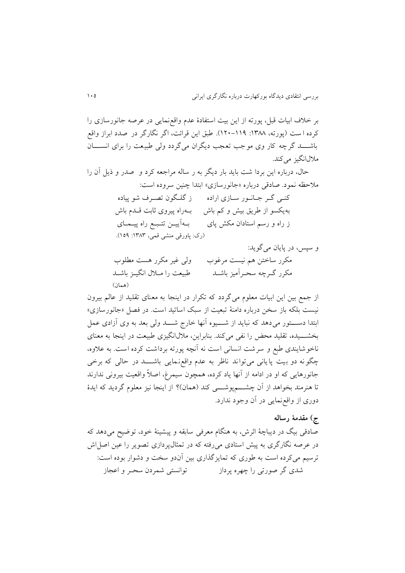بر خلاف ابیات قبل، پورته از این بیت استفادهٔ عدم واقع نمایی در عرصه جانورسازی را کرده ا ست (پورته، ۱۳۸۸: ۱۱۹–۱۲۰). طبق اين قرائت، اگر نگارگر در صدد ابراز واقع باشـــد گرچه کار وی موجب تعجب ديگران می گردد ولی طبیعت را برای انســـان ملال انگیز می کند.

حال، درباره اين بردا شت بايد بار ديگر به ر ساله مراجعه کرد و صدر و ذيل آن را ملاحظه نمود. صادقی درباره «جانورسازی» ابتدا چنین سروده است:

| ز گلگون تصـرف شو پياده            | کنے گر جانور سازی ارادہ      |
|-----------------------------------|------------------------------|
| بـهراه پيروى ثابت قـدم باش        | به یکسو از طریق بیش و کم باش |
| بـهأييــن تتـبـع راه پيــمــاي    | ز راه و رسم استادان مکش پای  |
| (رک: پاورقی منشی قمی، ۱۳۸۳: ۱۵۹). |                              |

و سپس، در پايان میگويد:

| ولی غیر مکرر هست مطلوب         | مكرر ساختن هم نيست مرغوب   |
|--------------------------------|----------------------------|
| طبیعت را مــلال انگیــز باشــد | مكرر گـرچه سحـرأميز باشــد |
| (همان)                         |                            |

از جمع بین این ابیات معلوم می گردد که تکرار در اینجا به معنای تقلید از عالم بیرون نیست بلکه باز سخن درباره دامنهٔ تبعیت از سبک اساتید است. در فصل «جانورسازی» ابتدا دستور می دهد که نبايد از شميوه آنها خارج شــد ولی بعد به وی آزادی عمل بخشـــيده، تقليد محض را نفي مي کند. بنابراين، ملال انگيزی طبيعت در اينجا به معنای ناخو شایندی طبع و سر شت انسانی است نه آنچه پورته برداشت کرده است. به علاوه، چگونه دو بیت پایانی می تواند ناظر به عدم واقع نمایی باشـــد در حالی که برخی جانورهايی که او در ادامه از آنها ياد کرده، همچون سيمرغ، اصلاً واقعيت بيرونی ندارند تا هنرمند بخواهد از آن چشــــمپوشــــی کند (همان)؟ از اينجا نيز معلوم گرديد که ايدۀ دوری از واقعنمايی در آن وجود ندارد.

### **ج( مقدمۀ رساله**

صادقی بیگ در دیباچهٔ اثرش، به هنگام معرفی سابقه و پیشینهٔ خود، توضیح میدهد که در عرصه نگارگری به پیش استادی می رفته که در تمثالپردازی تصوير را عین اصل اش ترسیم میکرده است به طوری که تمایزگذاری بین آندو سخت و دشوار بوده است: شدی گر صورتی را چهره پرداز توانستی شمردن سحنر و اعجاز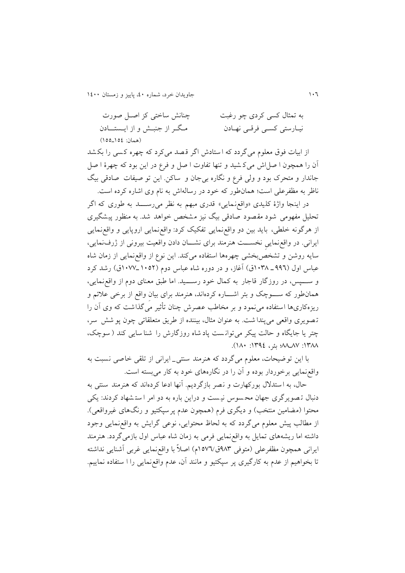099 جاويدان خرد، شماره ،09 پايیز و زمستان 0099

| چنانش ساختی کز اصـل صورت        | به تمثال کسی کردی چو رغبت  |
|---------------------------------|----------------------------|
| مگـر از جنبـش و از ايــستـــادن | نیـارستی کسـی فرقـی نهـادن |
| (همان: ١٥٤_١٥٥)                 |                            |

از ابیات فوق معلوم میگردد که ا ستادش اگر ق صد می کرد که چهره ک سی را بک شد آن را همچون ا صل اش میک شید و ت ها تفاوت ا صل و فرع در اين بود که چهر ۀ ا صل جاندار و متحرک بود و ولی فرع و نگاره بیجان و ساکن. اين تو صیفات صادقی بیگ ناظر به مظفرعلی است؛ همانطور که خود در رسالهاش به نام وی اشاره کرده است.

در اينجا واژهٔ کليدی «واقعزمايی» قدری مبهم به نظر می رســـد به طوری که اگر تحلیل مفهومی شود مقصود صادقی بیگ نیز مشخص خواهد شد. به م ظور پیش گیری از هرگونه خلطی، بايد بین دو واقعنمايی تفکیک کرد : واقعنمايی اروپايی و واقع نمايی ايرانی. در واقع نمايی نخســت هنرمند برای نشــان دادن واقعیت بیرونی از ژرفنمایی، سايه روشن و تشخص!بخشی چهرهها استفاده میکند. اين نوع از واقع $بمايی از زمان شاه$ عباس اول (۹۹٦ـ ۱۰۳۸ق) آغاز، و در دوره شاه عباس دوم (۱۰۵۲ـ/۱۰۷ت) رشد کرد و ســـــپس، در روزگار قاجار به کمال خود رســـــید. اما طبق معنای دوم از واقع;نمایی، همانطور که ســــوچک و بئر اشـــــاره کردهاند، هنرمند برای بیان واقع از برخی علائم و ریزهکاریها استفاده می نمود و بر مخاطب عصرش چنان تأثیر می گذاشت که وی آن را تـصويری واقعی می پندا شت. به عنوان مثال، بيننده از طريق متعلقاتی چون پو شش سر، چتر يا جايگاه و حالت پيکر مي توانست پاد شاه روزگارش را شنا سايي کند ( سوچک، ١٣٨٨: ١٣٩٤: بئر، ١٣٩٤: ١٨٠).

با اين تو ضيحات، معلوم می گردد که هنرمند سنتی\_ ايرانی از تلقی خاصی نسبت به واقع نمايی برخوردار بوده و آن را در نگارههای خود به کار می بسته است.

حال، به ا ستدلال بورکهارت و نصر بازگرديم. آنها ادعا کردهاند که هنرمند سنتی به دنبال تصوير گری جهان محسوس نيست و دراين باره به دو امر استشهاد کردند: يکی محتوا (مضامین منتخب) و دیگری فرم (همچون عدم پرسپکتیو و رنگهای غیرواقعی). از مطالب پیش معلوم می گردد که به لحاظ محتوایی، نوعی گرایش به واقع نمایی وجود داشته اما ريشههای تمايل به واقع نمايی فرمی به زمان شاه عباس اول بازمی گردد. هنرمند ايرانی همچون مظفرعلی (متوفی ۹۸۳ق/۱۵۷٦م) اصلاً با واقع نمايی غربی آشنايی نداشته تا بخواهیم از عدم به کارگیری پر سپکتیو و مانند آن، عدم واقع نمایی را ا ستفاده نماییم.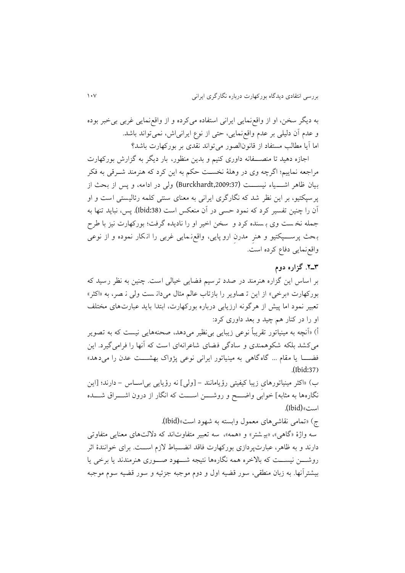به ديگر سخن، او از واقعنمايی ايرانی استفاده میکرده و از واقعنمايی غربی بیخرر بوده و عدم آن دلیلی بر عدم واقعنمايی، حتی از نوع ايرانیاش، نمیتواند باشد. اما آيا مطالب مستفاد از قانونالصور میتواند نقدی بر بورکهارت باشد؟

اجازه دهید تا منصـــفانه داوری کنیم و بدین منظور، بار دیگر به گزارش بورکهارت مراجعه نماييم؛ اگرچه وي در وهلۀ نخسـت حکم به اين کرد که هنرمند شــرقی به فکر بیان ظاهر اشـــیاء نیســـت (Burckhardt,2009:37) ولی در ادامه، و پس از بحث از پر سپکتیو، بر این نظر شد که نگارگری ایرانی به معنای سنتی کلمه رئالیستی است و او آن را چ ین تفسیر کرد که نمود حسی در آن م عکس اس **)**:38Ibid(**.** پس، نرايد ت ها به جمله نخ ست وی بـ سنده کرد و سخن اخیر او را نادیده گرفت؛ بورکهارت نیز با طرح بحث پرســـپکتیو و هنرِ مدرن ارو پايی، واقع نمايی غربی را انکار نموده و از نوعی واقع نمايی دفاع کرده است.

### **3ـ.2 گزاره دوم**

بر اساس اين گزاره هنرمند در صدد ترسيم فضايی خيالی است. چنين به نظر رسيد كه بورکهارت «برخی» از اين تـ صاوير را بازتاب عالم مثال می دان ست ولی نـ صر، به «اکثر» تعبیر نمود اما پیش از هرگونه ارزیابی درباره بورکهارت، ابتدا باید عبارت های مختلف او را در کنار هم چید و بعد داوری کرد:

أ) «آنچه به مینیاتور تقریباً نوعی زیبایی بی نظیر می دهد، صحنههایی نیست که به تصویر میکشد بلکه شکوهمندی و سادگی فضای شاعرانهای است که آنها را فرامی گیرد. این فضــــا يا مقام ... گاه گاهی به مینیاتور ايرانی نوعی پژواک بهشـــــت عدن را می۱۵هد» **.**(Ibid:37**(**

ب) «اکثر مینیاتورهای زیبا کیفیتی رؤیامانند – [ولی] نه رؤیایی بی|ســاس – دارند؛ [این نگارهها به مثابه] خوابی واضــــح و روشــــن اســـت که انگار از درون اشــــراق شــــده اس «(Ibid(**.**

### ج) «تمامی نقاشی های معمول وابسته به شهود است»(Ibid).

سه واژۀ «گاهی»، «بی شتر» و «همه»، سه تعبیر متفاوتاند که دلالتهای معنایی متفاوتی دارند و به ظاهر، عبارتپردازی بورکهارت فاقد انضــباط لازم اســت. برای خوانندۀ اثر روشــــن نیســـت که بالاخره همه نگارهها نتیجه شــــهود صــــوری هنرمندند يا برخی يا بیشتر آنها. به زبان منطقی، سور قضیه اول و دوم موجبه جزئیه و سور قضیه سوم موجبه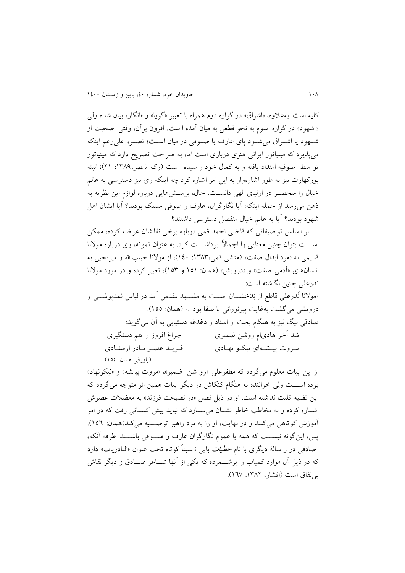کلیه است. بهعلاوه، «اشراق» در گزاره دوم همراه با تعبیر «گویا» و «انگار» بیان شده ولی « شهود» در گزاره سوم به نحو قطعی به میان آمده ا ست. افزون برآن، وقتی صحبت از شنهود يا اشنراق می شنود پای عارف يا صنوفی در ميان است؛ نصبر، علی رغم اينکه میپذيرد که مینیاتور ايرانی هنری درباری است اما، به صراحت تصريح دارد که مینیاتور تو سط صوفیه امتداد يافته و به کمال خود ر سيده ا ست (رک: ن صر،١٣٨٩: ٢١)؛ البته بورکهارت نیز به طور اشارهوار به این امر اشاره کرد چه اینکه وی نیز دسترسی به عالم خیال را منحصـر در اولیای الهی دانسـت. حال، پرسـشهایی درباره لوازم این نظریه به ذهن می رسد از جمله اينکه: آيا نگارگران، عارف و صوفی مسلک بودند؟ آيا ايشان اهل شهود بودند؟ آيا به عالم خيال منفصل دسترسی داشتند؟

بر ا ساس تو صیفاتی که قا ضی احمد قمی درباره برخی نقا شان عر ضه کرده، ممکن اســـت بتوان چنین معنایی را اجمالاً برداشـــت کرد. به عنوان نمونه، وی درباره مولانا قديمی به «مرد ابدال صفت» (منشی قمی، ۱۳۸۳: ۱٤۰)، از مولانا حبيبالله و ميريحي<sub>ت</sub> به انسانهای «آدمی صفت» و «درویش» (همان: ١٥١ و ١٥٣)، تعبیر کرده و در مورد مولانا ندرعلی چنین نگاشته است:

»موالنا نَدرعلی قاطع از بَدَخشننان اسنن به مشننهد مقدس آمد در لراس نمدپوشننی و درويشي ميگشت بهغايت پيرنوراني با صفا بود...» (همان: ١٥٥). صادقی بیگ نیز به ه گام بحث از استاد و دغدغه دستیابی به آن میگويد: شد آخر هادیام روشن ضمیری چراغ افروز را هم دستگیری منروت پینشنهای نیکنو نهنادی فنريند عصنر ننادر اوستنادی )پاورقی همان: 050(

از اين ابيات معلوم مي گردد که مظفرعلي «رو شن ضمير»، «مروت پيـ شه» و «نيکونهاد» بوده اســـت ولی خواننده به هنگام کنکاش در ديگر ابيات همين اثر متوجه می گردد که اين قضيه كليت نداشته است. او در ذيل فصل «در نصيحت فرزند» به معضلات عصرش اشباره کرده و به مخاطب خاطر نشبان می سبازد که نباید پیش کسبانی رفت که در امر آموزش کوتاهی می کنند و در نهایت، او را به مرد راهبر توصیه می کند(همان: ١٥٦). پس، اين گونه نيســت که همه يا عموم نگارگران عارف و صــوفی باشــند. طرفه آنکه، صادقی در ر سالهٔ دیگری با نام ح*ظّیات* بابی نـ سبتاً کوتاه تحت عنوان «النادریات» دارد که در ذيل آن موارد کمیاب را برشننمرده که يکی از آنها شنناعر صننادق و ديگر نقاش بی نفاق است (افشار، ۱۳۸۲: ۱۳۷).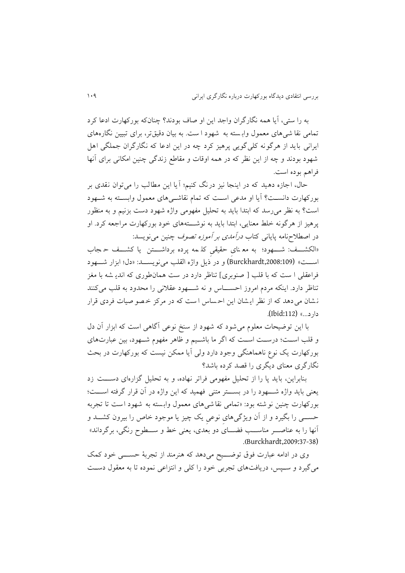به را ستی، آيا همه نگارگران واجد اين او صاف بودند؟ چ ان که بورکهارت ادعا کرد تمامی نقا شی های معمول وابسته به شهود ا ست. به بیان دقیقتر، برای تبیین نگارههای ايرانی بايد از هرگونه کلی گويی پرهیز کرد چه در اين ادعا که نگارگران جملگی اهل شهود بودند و چه از اين نظر که در همه اوقات و مقاطع زندگی چ ین امکانی برای آنها فراهم بوده است.

حال، اجازه دهید که در اینجا نیز درنگ کنیم؛ آیا این مطالب را میتوان نقدی بر بورکهارت دانسن ؟ آيا او مدعی اسن که تمام نقاشنیهای معمول وابسنته به شنهود است؟ به نظر می رسد که ابتدا باید به تحلیل مفهومی واژه شهود دست بزنیم و به منظور پرهیز از هرگونه خلط معنایی، ابتدا باید به نوشـــتههای خود بورکهارت مراجعه کرد. او در اصطلاحنامه پايانی کتاب *درآمدی بر آموزه تصوف چ*نين می نويسد:

«الکشــف: شـــهود؛ به مع نای حقیقیِ کل مه پرده برداشـــتن یا کشـــف ح جاب است» (Burckhardt,2008:109) و در ذيل واژه القلب می نويســد: «دل؛ ابزار شـــهود فراعقلی ا ست که با قلب [ صنوبری] تناظر دارد در ست همان طوری که اندی شه با مغز تناظر دارد. اينکه مردم امروز احســـاس و نه شـــهود عقلاني را محدود به قلب ميکنند نشان می دهد که از نظر ايشان اين احساس است که در مرکز خصو صيات فردی قرار دارد...« (:112Ibid(**.**

با اين توضيحات معلوم می شود که شهود از سنخ نوعی آگاهی است که ابزار آن دل و قلب اسـت؛ درسـت اسـت که اگر ما باشـيم و ظاهر مفهوم شـهود، بين عبارتهای بورکهارت يک نوع ناهماهنگي وجود دارد ولي آيا ممکن نيست که بورکهارت در بحث نگارگری معنای ديگری را قصد کرده باشد؟

بنابراين، بايد يا را از تحليل مفهومی فراتر نهاده، و به تحليل گزارهای دســت زد یعنی باید واژه شـــهود را در بســـتر متنی فهمید که این واژه در آن قرار گرفته اســـت؛ بورکهارت چنین نو شته بود: «تمامی نقا شیهای معمول وابسته به شهود است تا تجربه حسننی را بگیرد و از آن ويژگیهایِ نوعیِ يک چیز يا موجود خاص را بیرون کشنند و آنها را به عناصــــر مناســـب فضـــــای دو بعدی، یعنی خط و ســــطوح رنگی، برگرداند» **.)**Burckhardt,2009:37-38)

وی در ادامه عبارت فوق توضـــيح میدهد که هنرمند از تجربۀ حســــی خود کمک میگیرد و سننپس، درياف های تجربی خود را کلی و انتزاعی نموده تا به معقول دسنن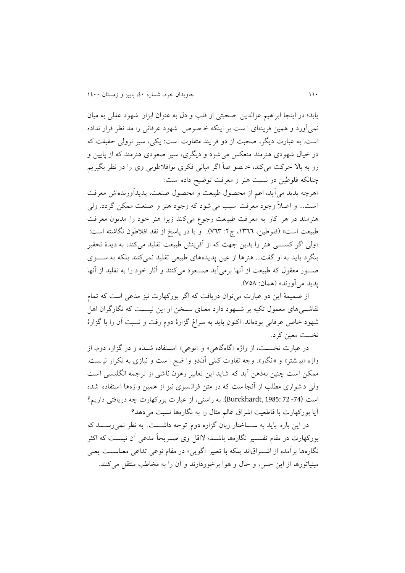يابد؛ در اينجا ابراهيم عزالدين صحتی از قلب و دل به عنوان ابزار شهود عقلی به میان نمیآورد و همین قرینهای ا ست بر اینکه خـ صوص شهود عرفانی را مد نظر قرار نداده است. به عبارت ديگر، صحبت از دو فرايند متفاوت است: يکي، سير نزولي حقيقت که در خیال شهودی هنرمند منعکس می شود و دیگری، سیر صعودی هنرمند که از پایین و رو به بالا حرکت میکند، خـ صو صاً اگر مبانی فکری نوافلاطونی وی را در نظر بگیریم چنانکه فلوطین در نسبت هنر و معرفت توضیح داده است: «هرچه پديد مي آيد، اعم از محصول طبيعت و محصول صنعت، پديدآورندهاش معرفت

است... و اصلاً وجود معرفت سبب می شود که وجود هنر و صنعت ممکن گردد. ولی هنرمند در هر کار به معر فت طبیعت رجوع می کند زیرا هنر خود را مدیون معرفت طبیعت است» (فلوطین، ١٣٦٦، ج٢: ٧٦٣). و يا در پاسخ از نقد افلاطون نگاشته است: «ولی اگر کســــی هنر را بدين جهت که از آفرينش طبيعت تقليد می کند، به ديدۀ تحقير بنگرد بايد به او گفت... هنرها از عين پديدههای طبيعی تقليد نمیکنند بلکه به سـوی صنور معقول که طبیعت از آنها برمی آید صنعود میکنند و آثار خود را به تقلید از آنها پديد میآورند« )همان: 151(.

از ضمیمۀ این دو عبارت میتوان دریافت که اگر بورکهارت نیز مدعی است که تمام نقاشــیهای معمول تکیه بر شــهود دارد معنای ســخن او این نیســت که نگارگران اهل شهود خاص عرفانی بودهاند. اکنون بايد به سراغ گزارۀ دوم رفت و نسبت آن را با گزارۀ نخست معین کرد.

در عبارت نخست، از واژه «گاهگاهی» و «نوعی» استفاده شـده و در گزاره دوم، از واژه «بیـ شتر» و «انگار». وجه تفاوت کمّی آندو وا ضح ا ست و نیازی به تکرار نیـ ست. ممکن است چنین بهذهن آید که شاید این تعابیر رهزن ناشی از ترجمه انگلیسی است ولی د شواری مطلب از آنجا ست که در متن فرانسوی نیز از همین واژهها ا ستفاده شده اس (-74 72 1985: ,Burckhardt(**.** به راستی، از عرارت بورکهارت چه دريافتی داريم؟ آيا بورکهارت با قاطعيت اشراق عالم مثال را به نگارهها نسبت می دهد؟

در اين باره بايد به ســـاختار زبان گزاره دوم توجه داشـــت. به نظر نمی رســـد که بورکهارت در مقام تفسننیر نگارهها باشنندب الاقل وی صننريحاً مدعی آن نیسنن که اکثر نگارهها بر آمده از اشـــراق|ند بلکه با تعبیر «گويی» در مقام نوعی تداعی معناســـت يعنی مینیاتورها از این حس، و حال و هوا برخوردارند و آن را به مخاطب منتقل می کنند.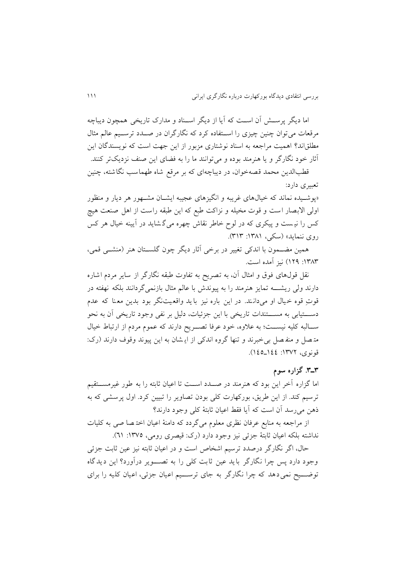اما ديگر پرســـش آن اســت که آيا از ديگر اســناد و مدارک تاريخی همچون ديباچه مرقعات می توان چنین چیزی را اسـتفاده کرد که نگارگران در صـدد ترسـیم عالم مثال مطلقاند؟ اهمیت مراجعه به اسناد نوشتاری مزبور از اين جهت است که نويسندگان اين آثار خود نگارگر و يا هنرمند بوده و می توانند ما را به فضای اين صنف نزديکتر کنند. قطبالدين محمد قصهخوان، در ديباچهای که بر مرقع شاه طهماسب نگاشته، چنين

تعریری دارد: «پوشـيده نماند که خیالهای غريبه و انگيزهای عجیبه ايشـان مشـهور هر ديار و منظور اولی الابصار است و قوت مخیله و نزاکت طبع که این طبقه راست از اهل صنعت هیچ

کس را نیست و پیکری که در لوح خاطر نقاش چهره میگشاید در آیینه خیال هر کس روی ننمايد» (سکې، ۱۳۸۱: ۳۱۳).

همین مضــمون با اندکی تغییر در برخی آثار دیگر چون گلســتان هنر (منشــی قمی، ۱۳۸۳: ۱۲۹) نیز آمده است.

نقل قولهای فوق و امثال آن، به تصريح به تفاوت طرقه نگارگر از ساير مردم اشاره دارند ولی ريشــــه تمايز هنرمند را به پيوندش با عالم مثال بازنمیگردانند بلکه نهفته در قوتِ قوه خيال او میدانـند. در اين باره نيز با يد واقعيتنگر بود بدين معـنا که عدم دســــتيابی به مســــتندات تاريخی با اين جزئيات، دليل بر نفی وجود تاريخی آن به نحو ســالبه کلیه نیســت؛ به علاوه، خود عرفا تصــریح دارند که عموم مردم از ارتباط خیال متصل و منفصل بی خبرند و تنها گروه اندکی از اي شان به اين پيوند وقوف دارند (رک: قونوی، ۱۳۷۲: ١٤٤-١٤٥).

# **3ـ.3 گزاره سوم**

اما گزاره آخر این بود که هنرمند در صــدد اســت تا اعیان ثابته را به طور غیرمســتقیم ترسیم کند. از این طریق، بورکهارت کلی بودن تصاویر را تبیین کرد. اول پرسشی که به ذهن می رسد آن است که آيا فقط اعيان ثابتۀ کلی وجود دارند؟

از مراجعه به منابع عرفان نظری معلوم میگردد که دامنهٔ اعیان اخت صا صی به کلیات نداشته بلکه اعیان ثابتۀ جزئی نیز وجود دارد (رک: قیصری رومی، ١٣٧٥: ٦١).

حال، اگر نگارگر درصدد ترسیم اشخاص است و در اعیان ثابته نیز عین ثابت جزئی وجود دارد پس چرا نگارگر بايد عین ثاب کلی را به تصنننوير درآورد؟ اين ديدگاه توضـــیح نمی دهد که چرا نگارگر به جای ترســـیم اعیان جزئی، اعیان کلیه را برای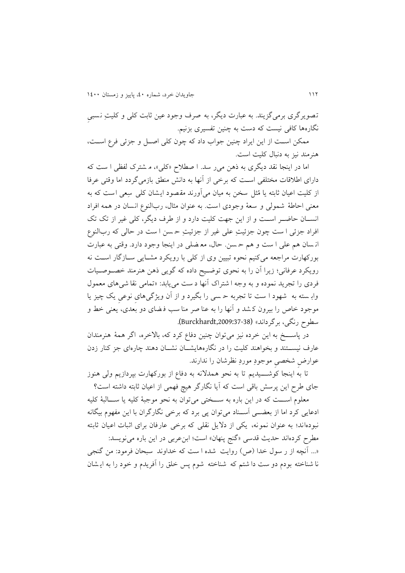تصويرگری برمی گزيند. به عبارت ديگر، به صرف وجود عين ثابت کلی و کليتِ نسببي نگارهها کافی نیست که دست به چنین تفسیری بزنیم.

ممکن است از اين ايراد چنين جواب داد که چون کلی اصـل و جزئی فرع اسـت، هنر مند نیز به دنبال کلیت است.

اما در اينجا نقد ديگری به ذهن می ر سد. ا صطلاح «کلی»، م شترک لفظی ا ست که دارای اطلاقات مختلفی است که برخی از آنها به دانش منطق بازمی گردد اما وقتی عرفا از کلیت اعیان ثابته یا مُثل سخن به میان می آورند مقصود ایشان کلی سِعی است که به معنى احاطۀ شمولى و سعۀ وجودى است. به عنوان مثال، ربالنوع انسان در همه افراد انســان حاضــر اســت و از اين جهت کليت دارد و از طرف ديگر، کلي غير از تک تک افراد جزئی ا ست چون جزئیتِ علی غیر از جزئیتِ حسن ا ست در حالی که ربالنوع انـسان هم علـی ا ست و هم حـسن. حال، معـضلی در اينجا وجود دارد. وقتی به عبارت بورکهارت مراجعه میکنیم نحوه تبيين وی از کلی با رويکرد مشـايی سـازگار اسـت نه رويکرد عرفاني؛ زيرا آن را به نحوي توضيح داده که گويي ذهن هنرمند خصوصيات فردی را تجريد نموده و به وجه ا شتراک آنها د ست می يابد: «تمامی نقا شی های معمول وابسته به شهود ا ست تا تجربه حسی را بگیرد و از آن ویژگیهای نوعی یک چیز یا موجود خاص را بیرون کشد و آنها را به عنا صر منا سب فـضای دو بعدی، یعنی خط و سطوح رنگی، برگرداند« (,2009:37-38Burckhardt(**.**

در پاســــخ به اين خرده نيز می توان چنين دفاع کرد که، بالاخره، اگر همۀ هنرمندان عارف نیســتند و بخواهند کلیت را در نگارههایشــان نشــان دهند چارهای جز کنار زدن عوارضِ شخصیِ موجودِ موردِ نظرشان را ندارند.

تا به اينجا کوشــــيديم تا به نحو همدلانه به دفاع از بورکهارت بپردازيم ولی هنوز جای طرح اين پرسش باقی است که آيا نگارگر هيچ فهمی از اعيان ثابته داشته است؟

معلوم اسنن که در اين باره به سننختی میتوان به نحو موجرۀ کلیه يا سننالرۀ کلیه ادعايی کرد اما از بعضــي اَســناد می توان پی برد که برخی نگارگران با اين مفهوم بيگانه نبودهاند؛ به عنوان نمونه، يکی از دلايل نقلی که برخی عارفان برای اثبات اعيان ثابته مطرح کردهاند حديث قدسي «گنج پنهان» است؛ ابن عربي در اين باره مي نويسد: «... آنچه از ر سول خدا (ص) روايت شده ا ست که خداوند سبحان فرمود: من گنجی نا شناخته بودم دو ست دا شتم که شناخته شوم پس خلق را آفريدم و خود را به ايشان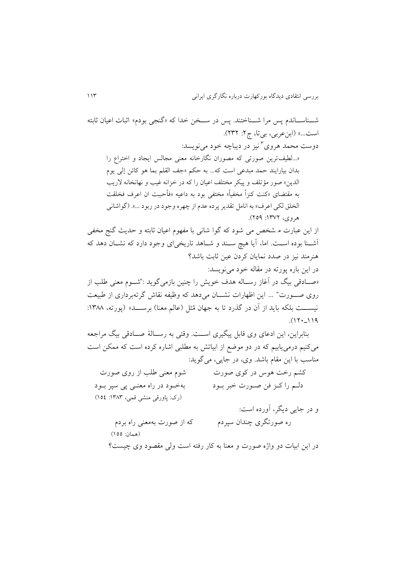شــناســاندم پس مرا شــناختند. پس در ســخن خدا که «گنجی بودم» اثبات اعیان ثابته است...» (ابنعربی، بیتا، ج۲: ۲۳۲). دوست محمد هروی<sup>۲</sup>نیز در دیباچه خود مینویسد: «...لطیفترین صورتی که مصوران نگارخانه معنی مجالس ایجاد و اختراع را بدان بیارایند حمد مبدعی است که... به حکم «جف القلم بما هو کائن إلی یوم الدين» صور مؤتلف و پيکر مختلف اعيان را که در خزانه غيب و نهانخانه لاريب به مقتضای «کنت کنزاً مخفیاً» مختفی بود به داعیه «فأحببت ان اعرف فخلقت الخلق لکی اعرف» به انامل تقدير پرده عدم از چهره وجود در ربود ...». (گواشانی  $(709:11907)$  هروی، ۱۳۷۲ از اين عبارت م شخص می شود که گوا شانی با مفهوم اعيان ثابته و حديث گنج مخفی آشنن ا بوده اسنن . اما، آيا هیچ سنن د و شنناهد تاريخیای وجود دارد که نشننان دهد که هنر مند نیز در صدد نمایان کردن عین ثابت باشد؟ در اين باره پورته در مقاله خود مینويسد: «صـادقی بیگ در آغاز رسـاله هدف خويش را چنين بازمی گويد :"شــوم معنی طلب از روی صنورت" ... اين اظهارات نشــان می۱هد که وظیفه نقاش گرتهبرداری از طبیعت نیســـت بلکه باید از آن در گذرد تا به جهان مُثل (عالم معنا) برســــد» (پورته، ۱۳۸۸:  $(17.19)$ بنابراين، اين ادعای وی قابل پیگیری اســت. وقتی به رســالۀ صــادقی بیگ مراجعه میکنیم درمی یابیم که در دو موضع از ابیاتش به مطلبی اشاره کرده است که ممکن است مناسب با اين مقام باشد. وی، در جايبي، می گويد: کشم رخت هوس در کوی صورت مشوم معنی طلب از روی صورت دلـم را کــز فن صــورت خبر بــود بهخــــود در راه معنـــی پی سپر بــود (رک: پاورقی منشی قمی، ۱۳۸۳: ۱۵٤) و در جايي ديگر، آورده است: ره صورتگری چندان سپردم که از صورت بهمعنی راه بردم )همان: 055( در اين ابيات دو واژه صورت و معنا به کار رفته است ولی مقصود وی چیست؟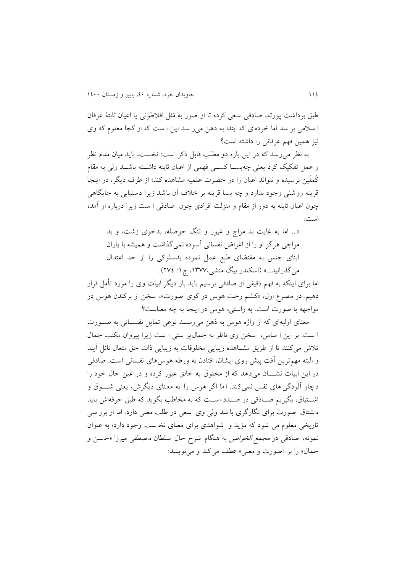طبق برداشت پورته، صادقی سعی کرده تا از صور به مُثل افلاطونی یا اعیان ثابتۀ عرفان ا سلامی بر سد اما خردهای که ابتدا به ذهن می ر سد اين ا ست که از کجا معلوم که وی نیز همین فهم عرفانی را داشته است؟

به نظر می رسد که در اين باره دو مطلب قابل ذکر است: نخست، بايد ميان مقام نظر و عمل تفکیک کرد یعنی چهبســا کســـی فهمی از اعیان ثابته داشـــته باشـــد ولی به مقام کُملّین نرسیده و نتواند اعیان را در حضرت علمیه مشاهده کند؛ از طرف دیگر، در اینجا قرينه روشني وجود ندارد و چه بسا قرينه بر خلاف آن باشد زيرا دستيابی به جايگاهي چون اعیان ثابته به دور از مقام و منزلت افرادی چون صادقی ا ست زيرا درباره او آمده است:

«... اما به غايت بد مزاج و غيور و تنگ حوصله، بدخوی زشت، و بد مزاجی هرگز او را از اغراض نفسانی آسوده نمیگذاشت و همیشه با یاران ابنای جنس به مقتضای طبع عمل نموده بدسلوکی را از حد اعتدال میگذرانید...» (اسکندر بیگ منشی،۱۳۷۷، ج۱: ۲۷٤).

اما برای اينکه به فهم دقیقی از صادقی برسیم بايد بار ديگر ابيات وی را مورد تأمل قرار دهیم. در مصرع اول، «کشم رخت هوس در کوي صورت»، سخن از برکندن هوس در مواجهه با صورت است. به راستی، هوس در اينجا به چه معناست؟

معنای اولیهای که از واژه هوس به ذهن می رســد نوعی تمایل نفســانی به صــورت ا ست. بر اين ا ساس، سخن وی ناظر به جمال پر ستی ا ست زيرا پيروان مکتب جمال تلاش میکنند تا از طريق مشـاهده زيبايی مخلوقات به زيبايی ذات حق متعال نائل آيند و البته مهمترين آفت پیش روی ايشان، افتادن به ورطه هوس های نفسانی است. صادقی در اين ابیات نشنننان می دهد که از مخلوق به خالق عرور کرده و در عین حال خود را دچار آلودگی های نفس نمی کند. اما اگر هوس را به معنای دیگرش، یعنی شــوق و اشــتياق، بگيريم صــادقی در صــدد اســت که به مخاطب بگويد که طبق حرفهاش بايد مشتاق صورت برای نگارگری با شد ولی وی سعی در طلب معنی دارد. اما از برر سی تاريخی معلوم می شود که مؤيد و شواهدی برای معنای نخ ست وجود دارد؛ به عنوان نمونه، صادقی در *مجمع الخواص* به هنگام شرح حال سلطان مصطفی میرزا «حسن و جمال» را بر «صورت و معنی» عطف می کند و می نویسد: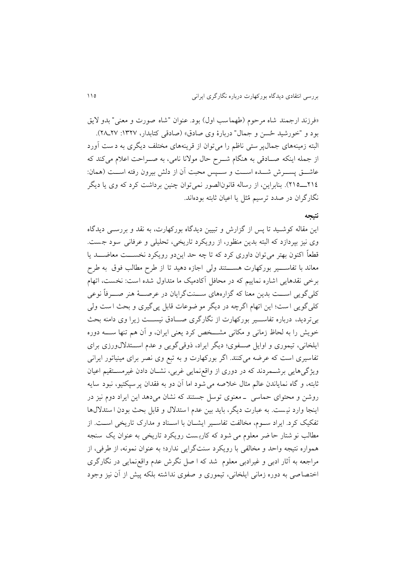«فرزند ارجمند شاه مرحوم (طهماسب اول) بود. عنوان "شاه صورت و معنی" بدو لایق بود و "خورشید حُسن و جمال" دربارۀ وی صادق» (صادقی کتابدار، ١٣٢٧: ٢٨\_٢٧). البته زمینههای جمالپر ستی ناظم را می توان از قرینههای مختلف دیگری به دست آورد از جمله اینکه صـادقی به هنگام شــرح حال مولانا نامی، به صــراحت اعلام میکند که عاشـــق پســـرش شـــده اســـت و ســـپس محبت آن از دلش بیرون رفته اســـت (همان: 900ننن905(. ب ابراين، از رساله قانونالصور نمیتوان چ ین برداش کرد که وی يا ديگر نگارگران در صدد ترسیم م ثل يا اعیان ثابته بودهاند.

#### **نتیجه**

اين مقاله کوشنید تا پس از گزارش و تریین ديدگاه بورکهارت، به نقد و بررسنی ديدگاه وی نیز بپردازد که البته بدين منظور، از رويکرد تاريخی، تحليلی و عرفانی سود جست. قطعاً اکنون بهتر می توان داوری کرد که تا چه حد ايندو رويکرد نخســـت معاضــــد يا معاند با تفاســــیر بورکهارت هســــتند ولی اجازه دهید تا از طرح مطالب فوق به طرح برخی نقدهايی اشاره نمايیم که در محافل آکادمیک ما متداول شده است: نخست، اتهام کلیگويی اســت بدين معنا که گزارههای ســـنتگرايان در عرصـــهٔ هنر صـــرفاً نوعی کلی گويی است؛ اين اتهام اگرچه در ديگر مو ضوعات قابل پی گیری و بحث است ولی بیترديد، درباره تفاســير بورکهارت از نگارگری صــادق نیســت زيرا وی دامنه بحث خويش را به لحاظ زمانی و مکانی مشـــخص کرد يعنی ايران، و آن هم تنها ســــه دوره ايلخانی، تیموری و اوايل صننفویب ديگر ايراد، ذوقیگويی و عدم اسننتداللورزی برای تفاسیری است که عرضه میکنند. اگر بورکهارت و به تبع وی نصر برای مینیاتور ایرانی ويژگیهايی برشنمردند که در دوری از واقعنمايی غربی، نشنان دادن غیرمسنتقیم اعیان ثابته، و گاه نماياندن عالم مثال خلاصه می شود اما آن دو به فقدان پرسپکتیو، نبود سايه روشن و محتوای حماسی -معنوی توسل جستند که نشان میدهد این ایراد دوم نیز در اينجا وارد نيست. به عبارت ديگر، بايد بين عدم ا ستدلال و قابل بحث بودن ا ستدلال ها تفکیک کرد. ايراد سنوم، مخالفت تفاسنير ايشنان با اسنناد و مدارک تاريخی اسنت. از مطالب نو شتار حا ضر معلوم می شود که کاربست رويکرد تاريخی به عنوان يک سنجه همواره نتيجه واحد و مخالفي با رويکرد سنتگرايی ندارد؛ به عنوان نمونه، از طرفي، از مراجعه به آثار ادبی و غیرادبی معلوم شد که ا صل نگرش عدم واقع نمايی در نگارگری اختصاصی به دوره زمانی ایلخانی، تیموری و صفوی نداشته بلکه پیش از آن نیز وجود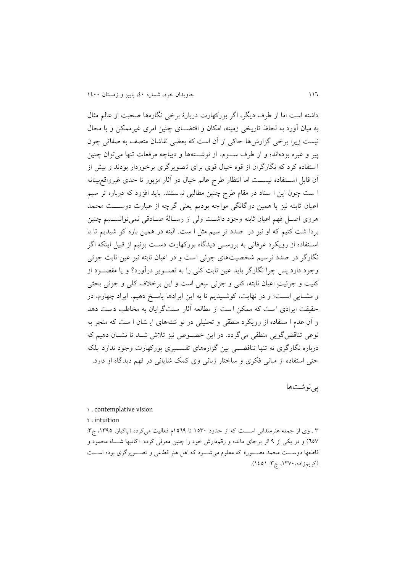داشته است اما از طرف ديگر، اگر بورکهارت دربارۀ برخی نگارهها صحبت از عالم مثال به میان آورد به لحاظ تاريخی زمينه، امکان و اقتضــای چنين امری غیرممکن و يا محال نیست زیرا برخی گزارشها حاکی از آن است که بعضی نقاشان متصف به صفاتی چون پیر و غیره بودهاند؛ و از طرف سـوم، از نوشــتهها و دیباچه مرقعات تنها می توان چنین ا ستفاده کرد که نگارگران از قوه خیال قوی برای ت صويرگری برخوردار بودند و بیش از آن قابل اســتفاده نیســت اما انتظار طرح عالم خیال در آثار مزبور تا حدی غیرواقع,بینانه ا ست چون اين ا سناد در مقام طرح چنين مطالبي ني ستند. بايد افزود که درباره تر سيم اعیان ثابته نیز با همین دوگانگی مواجه بودیم یعنی گرچه از عبارت دوســـت محمد هروی اصل فهم اعیان ثابته وجود داشت ولی از رسالۀ صادقی نمی توانسـتیم چنین بردا شت کنیم که او نیز در صدد تر سیم مثل ا ست. البته در همین باره کو شیدیم تا با اسـتفاده از رويکرد عرفانی به بررسـي ديدگاه بورکهارت دسـت بزنيم از قبيل اينکه اگر نگارگر در صدد ترسیم شخصیتهای جزئی است و در اعیان ثابته نیز عین ثابت جزئی وجود دارد پس چرا نگارگر بايد عين ثابت کلی را به تصـوير درآورد؟ و يا مقصــود از کلیت و جزئیتِ اعیان ثابته، کلی و جزئی سِعی است و این برخلاف کلی و جزئی بحثی و مشـايی اسـت؛ و در نهايت، کوشـيديم تا به اين ايرادها پاسـخ دهيم. ايراد چهارم، در حقیقت ايرادی است که ممکن است از مطالعه آثار سنتگرايان به مخاطب دست دهد و آن عدم ا ستفاده از رويکرد منطقی و تحليلی در نو شتههای اي شان ا ست که منجر به نوعی تناقض گويی منطقی میگردد. در اين خصوص نيز تلاش شـد تا نشـان دهيم که درباره نگارگری نه تنها تناقضـــی بین گزارههای تفســـیری بورکهارت وجود ندارد بلکه حتی استفاده از مرانی فکری و ساختار زبانی وی کمک شايانی در فهم ديدگاه او دارد.

پینوشتها

0 . contemplative vision

9 . intuition

۳ . وی از جمله هنرمندانی است که از حدود ۱۵۳۰ تا ۱۵۶۹م فعالیت می کرده (پاکباز، ۱۳۹۵، ج۳: ٦٥٧) و در يکي از ۹ اثر برجای مانده و رقم دارش خود را چنين معرفی کرده: «کاتبها شــاه محمود و قاطعها دوســت محمد مصــور» که معلوم میشــود که اهل هنر قطاعی و تصــویرگری بوده اســت )کريمزاده،0919، ج:9 0050(.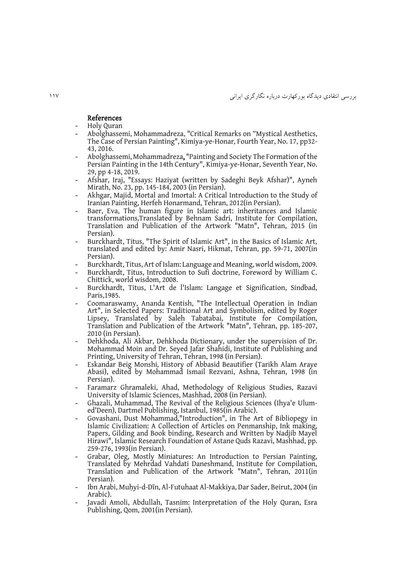#### References

- Holy Quran
- Abolghassemi, Mohammadreza, "Critical Remarks on "Mystical Aesthetics, The Case of Persian Painting", Kimiya-ye-Honar*,* Fourth Year, No. 17, pp32- 43, 2016.
- Abolghassemi, Mohammadreza, "Painting and Society The Formation of the Persian Painting in the 14th Century", Kimiya-ye-Honar, Seventh Year, No. 29, pp 4-18, 2019.
- Afshar, Iraj, "Essays: Haziyat (written by Sadeghi Beyk Afshar)", Ayneh Mirath, No. 23, pp. 145-184, 2003 (in Persian).
- Akhgar, Majid, Mortal and Imortal: A Critical Introduction to the Study of Iranian Painting, Herfeh Honarmand, Tehran, 2012(in Persian).
- Baer, Eva, The human figure in Islamic art: inheritances and Islamic transformations*,*Translated by Behnam Sadri, Institute for Compilation, Translation and Publication of the Artwork "Matn", Tehran, 2015 (in Persian).
- Burckhardt, Titus, "The Spirit of Islamic Art", in the Basics of Islamic Art, translated and edited by: Amir Nasri, Hikmat, Tehran, pp. 59-71, 2007(in Persian).
- Burckhardt, Titus, Art of Islam: Language and Meaning, world wisdom, 2009.
- Burckhardt, Titus, Introduction to Sufi doctrine, Foreword by William C. Chittick, world wisdom, 2008.
- Burckhardt, Titus, L'Art de l'Islam: Langage et Signification, Sindbad, Paris,1985.
- Coomaraswamy, Ananda Kentish, "The Intellectual Operation in Indian Art", in Selected Papers: Traditional Art and Symbolism, edited by Roger Lipsey, Translated by Saleh Tabatabai, Institute for Compilation, Translation and Publication of the Artwork "Matn", Tehran, pp. 185-207, 2010 (in Persian).
- Dehkhoda, Ali Akbar, Dehkhoda Dictionary, under the supervision of Dr. Mohammad Moin and Dr. Seyed Jafar Shahidi, Institute of Publishing and Printing, University of Tehran, Tehran, 1998 (in Persian).
- Eskandar Beig Monshi*,* History of Abbasid Beautifier (Tarikh Alam Araye Abasi), edited by Mohammad Ismail Rezvani, Ashna, Tehran, 1998 (in Persian).
- Faramarz Ghramaleki, Ahad, Methodology of Religious Studies, Razavi University of Islamic Sciences, Mashhad, 2008 (in Persian).
- Ghazali, Muhammad, The Revival of the Religious Sciences [\(Ihya'e Ulum](https://en.wikipedia.org/wiki/Ihya%27e_Ulum-ed%27Deen)[ed'Deen\)](https://en.wikipedia.org/wiki/Ihya%27e_Ulum-ed%27Deen), Dartmel Publishing, Istanbul, 1985(in Arabic).
- Govashani, Dust Mohammad,"Introduction", in The Art of Bibliopegy in Islamic Civilization: A Collection of Articles on Penmanship, Ink making, Papers, Gilding and Book binding, Research and Written by Nadjib Mayel Hirawi", Islamic Research Foundation of Astane Quds Razavi, Mashhad, pp. 259-276, 1993(in Persian).
- Grabar, Oleg, Mostly Miniatures: An Introduction to Persian Painting. Translated by Mehrdad Vahdati Daneshmand, Institute for Compilation, Translation and Publication of the Artwork "Matn", Tehran, 2011(in Persian).
- Ibn Arabi, Muhyi-d-Dīn, Al-Futuhaat Al-Makkiya, Dar Sader, Beirut, 2004 (in Arabic).
- Javadi Amoli, Abdullah, Tasnim: Interpretation of the Holy Quran, Esra Publishing, Qom, 2001(in Persian).